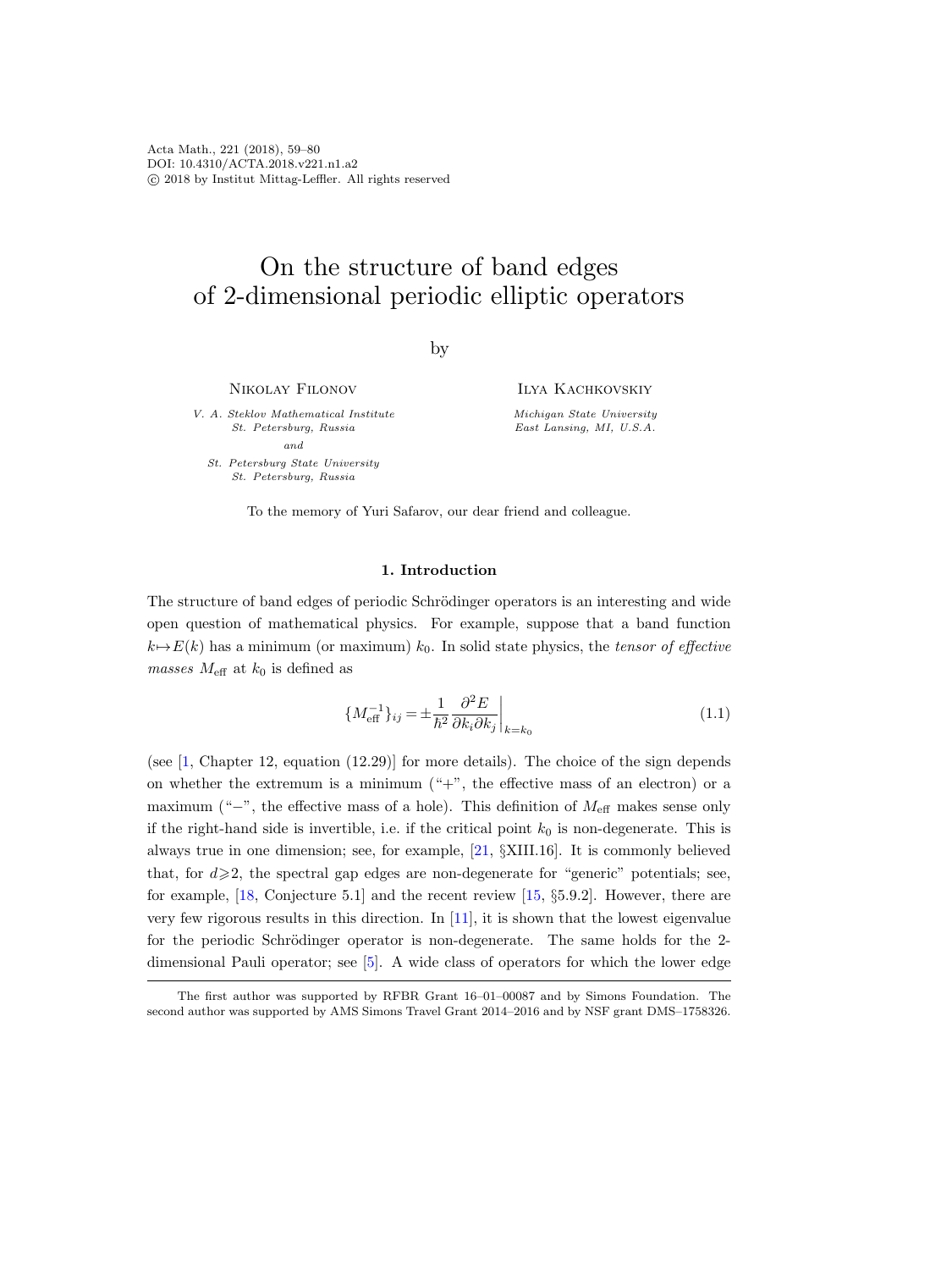Acta Math., 221 (2018), 59–80 DOI: 10.4310/ACTA.2018.v221.n1.a2 c 2018 by Institut Mittag-Leffler. All rights reserved

# On the structure of band edges of 2-dimensional periodic elliptic operators

by

Nikolay Filonov

V. A. Steklov Mathematical Institute St. Petersburg, Russia and

St. Petersburg State University St. Petersburg, Russia

Ilya Kachkovskiy

Michigan State University East Lansing, MI, U.S.A.

To the memory of Yuri Safarov, our dear friend and colleague.

### 1. Introduction

The structure of band edges of periodic Schrödinger operators is an interesting and wide open question of mathematical physics. For example, suppose that a band function  $k \rightarrow E(k)$  has a minimum (or maximum)  $k_0$ . In solid state physics, the tensor of effective masses  $M_{\text{eff}}$  at  $k_0$  is defined as

<span id="page-0-0"></span>
$$
\left\{ M_{\text{eff}}^{-1} \right\}_{ij} = \pm \frac{1}{\hbar^2} \frac{\partial^2 E}{\partial k_i \partial k_j} \bigg|_{k=k_0} \tag{1.1}
$$

(see  $[1, \text{Chapter 12}, \text{ equation } (12.29)]$  for more details). The choice of the sign depends on whether the extremum is a minimum  $(*+$ ", the effective mass of an electron) or a maximum ("−", the effective mass of a hole). This definition of  $M_{\text{eff}}$  makes sense only if the right-hand side is invertible, i.e. if the critical point  $k_0$  is non-degenerate. This is always true in one dimension; see, for example, [\[21,](#page-20-0) §XIII.16]. It is commonly believed that, for  $d \geqslant 2$ , the spectral gap edges are non-degenerate for "generic" potentials; see, for example, [\[18,](#page-20-1) Conjecture 5.1] and the recent review [\[15,](#page-20-2) §5.9.2]. However, there are very few rigorous results in this direction. In  $[11]$ , it is shown that the lowest eigenvalue for the periodic Schrödinger operator is non-degenerate. The same holds for the 2dimensional Pauli operator; see [\[5\]](#page-19-1). A wide class of operators for which the lower edge

The first author was supported by RFBR Grant 16–01–00087 and by Simons Foundation. The second author was supported by AMS Simons Travel Grant 2014–2016 and by NSF grant DMS–1758326.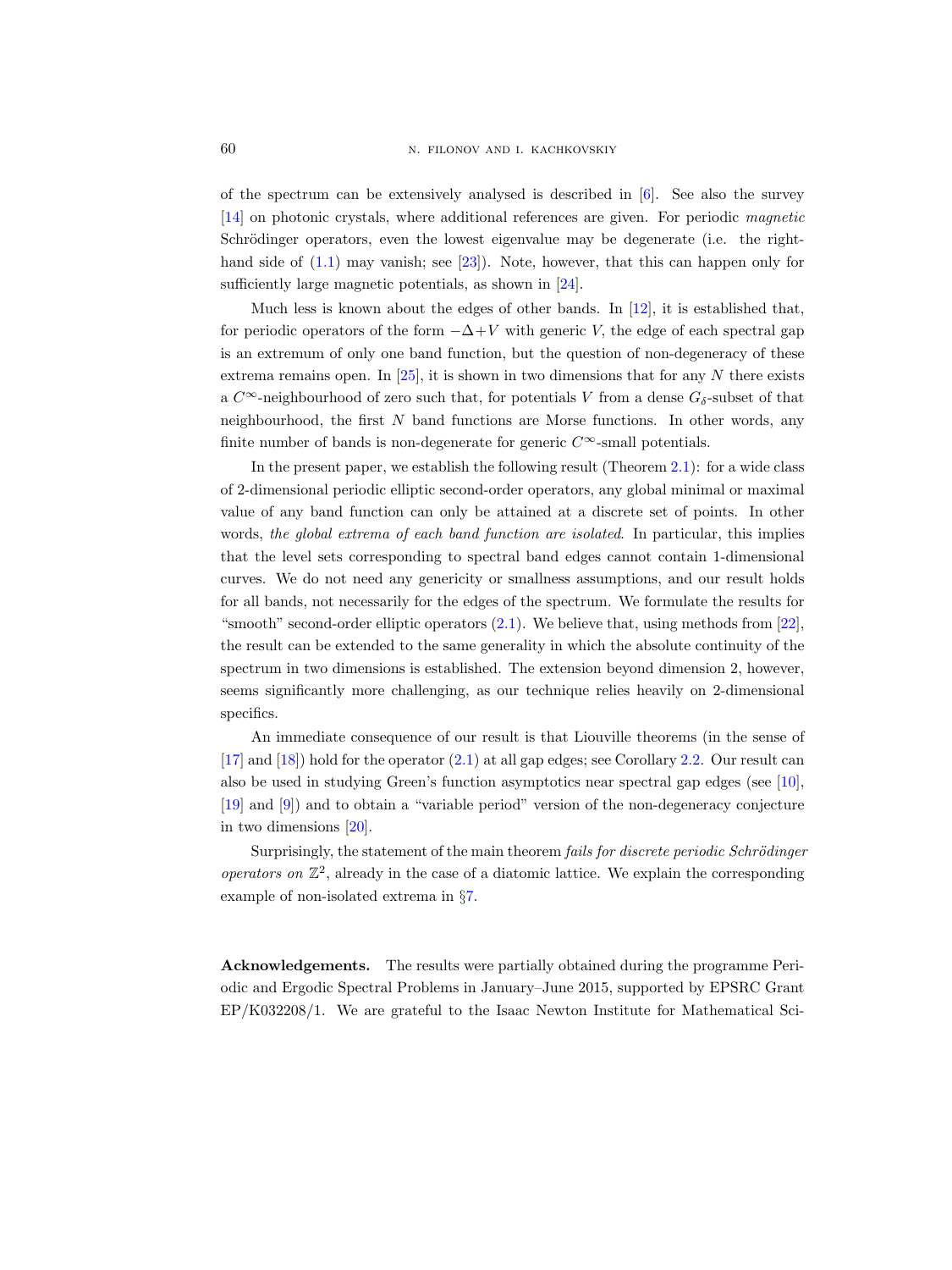of the spectrum can be extensively analysed is described in [\[6\]](#page-19-2). See also the survey [\[14\]](#page-20-4) on photonic crystals, where additional references are given. For periodic magnetic Schrödinger operators, even the lowest eigenvalue may be degenerate (i.e. the righthand side of  $(1.1)$  may vanish; see [\[23\]](#page-20-5)). Note, however, that this can happen only for sufficiently large magnetic potentials, as shown in [\[24\]](#page-20-6).

Much less is known about the edges of other bands. In  $[12]$ , it is established that, for periodic operators of the form  $-\Delta + V$  with generic V, the edge of each spectral gap is an extremum of only one band function, but the question of non-degeneracy of these extrema remains open. In  $[25]$ , it is shown in two dimensions that for any N there exists a  $C^{\infty}$ -neighbourhood of zero such that, for potentials V from a dense  $G_{\delta}$ -subset of that neighbourhood, the first  $N$  band functions are Morse functions. In other words, any finite number of bands is non-degenerate for generic  $C^{\infty}$ -small potentials.

In the present paper, we establish the following result (Theorem [2.1\)](#page-3-0): for a wide class of 2-dimensional periodic elliptic second-order operators, any global minimal or maximal value of any band function can only be attained at a discrete set of points. In other words, the global extrema of each band function are isolated. In particular, this implies that the level sets corresponding to spectral band edges cannot contain 1-dimensional curves. We do not need any genericity or smallness assumptions, and our result holds for all bands, not necessarily for the edges of the spectrum. We formulate the results for "smooth" second-order elliptic operators  $(2.1)$ . We believe that, using methods from  $[22]$ , the result can be extended to the same generality in which the absolute continuity of the spectrum in two dimensions is established. The extension beyond dimension 2, however, seems significantly more challenging, as our technique relies heavily on 2-dimensional specifics.

An immediate consequence of our result is that Liouville theorems (in the sense of [\[17\]](#page-20-10) and [\[18\]](#page-20-1)) hold for the operator [\(2.1\)](#page-2-0) at all gap edges; see Corollary [2.2.](#page-3-1) Our result can also be used in studying Green's function asymptotics near spectral gap edges (see [\[10\]](#page-20-11), [\[19\]](#page-20-12) and [\[9\]](#page-20-13)) and to obtain a "variable period" version of the non-degeneracy conjecture in two dimensions [\[20\]](#page-20-14).

Surprisingly, the statement of the main theorem *fails for discrete periodic Schrödinger* operators on  $\mathbb{Z}^2$ , already in the case of a diatomic lattice. We explain the corresponding example of non-isolated extrema in §[7.](#page-17-0)

Acknowledgements. The results were partially obtained during the programme Periodic and Ergodic Spectral Problems in January–June 2015, supported by EPSRC Grant EP/K032208/1. We are grateful to the Isaac Newton Institute for Mathematical Sci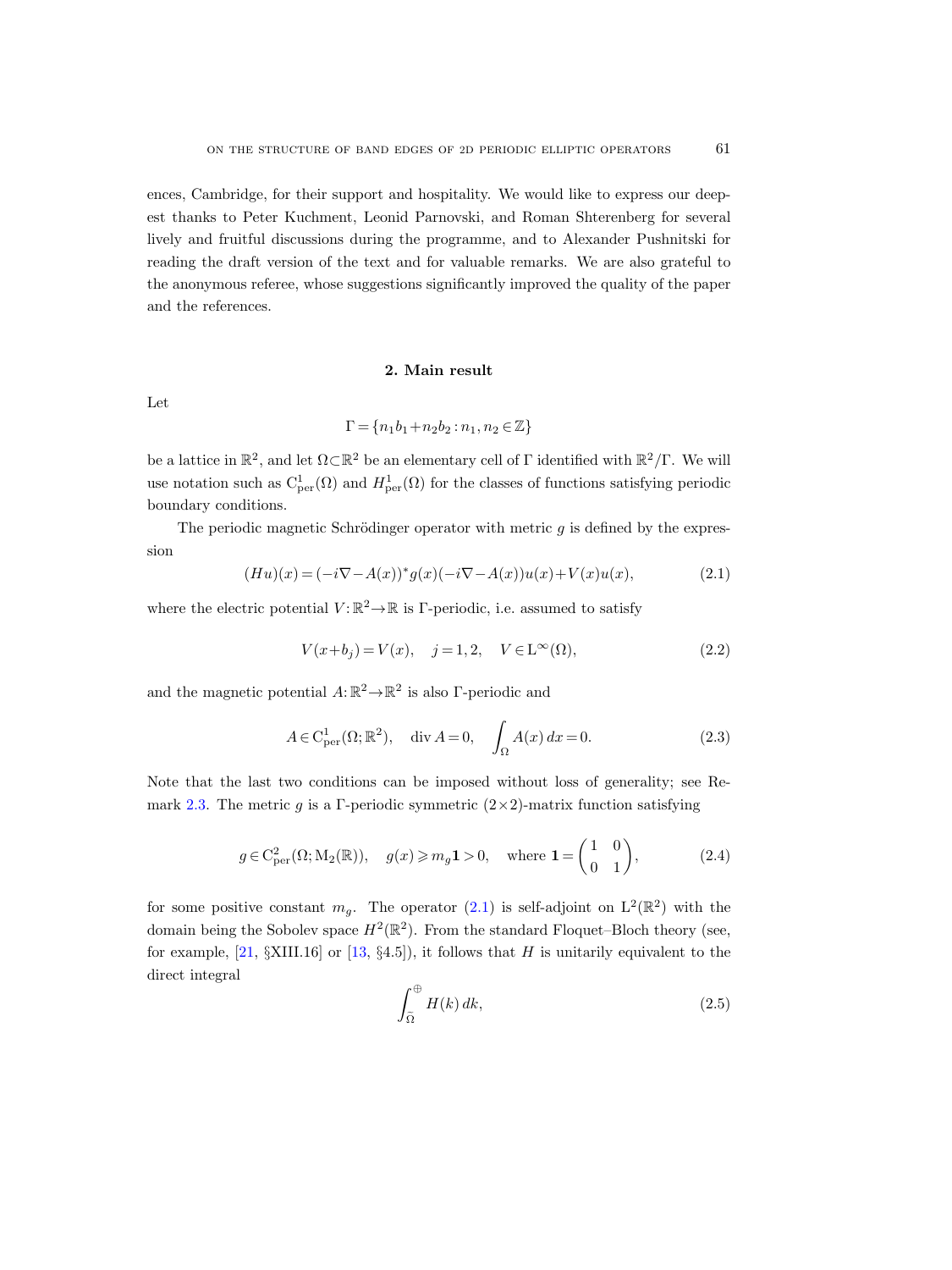ences, Cambridge, for their support and hospitality. We would like to express our deepest thanks to Peter Kuchment, Leonid Parnovski, and Roman Shterenberg for several lively and fruitful discussions during the programme, and to Alexander Pushnitski for reading the draft version of the text and for valuable remarks. We are also grateful to the anonymous referee, whose suggestions significantly improved the quality of the paper and the references.

## 2. Main result

Let

$$
\Gamma = \{n_1b_1 + n_2b_2 : n_1, n_2 \in \mathbb{Z}\}
$$

be a lattice in  $\mathbb{R}^2$ , and let  $\Omega \subset \mathbb{R}^2$  be an elementary cell of  $\Gamma$  identified with  $\mathbb{R}^2/\Gamma$ . We will use notation such as  $C_{\text{per}}^1(\Omega)$  and  $H_{\text{per}}^1(\Omega)$  for the classes of functions satisfying periodic boundary conditions.

The periodic magnetic Schrödinger operator with metric  $g$  is defined by the expression

<span id="page-2-0"></span>
$$
(Hu)(x) = (-i\nabla - A(x))^* g(x) (-i\nabla - A(x))u(x) + V(x)u(x), \qquad (2.1)
$$

where the electric potential  $V: \mathbb{R}^2 \to \mathbb{R}$  is  $\Gamma$ -periodic, i.e. assumed to satisfy

<span id="page-2-2"></span>
$$
V(x+b_j) = V(x), \quad j = 1, 2, \quad V \in L^{\infty}(\Omega),
$$
\n(2.2)

and the magnetic potential  $A: \mathbb{R}^2 \to \mathbb{R}^2$  is also Γ-periodic and

<span id="page-2-4"></span>
$$
A \in \mathcal{C}_{\text{per}}^1(\Omega; \mathbb{R}^2), \quad \text{div } A = 0, \quad \int_{\Omega} A(x) dx = 0.
$$
 (2.3)

Note that the last two conditions can be imposed without loss of generality; see Re-mark [2.3.](#page-4-0) The metric g is a Γ-periodic symmetric  $(2\times 2)$ -matrix function satisfying

<span id="page-2-3"></span>
$$
g \in C_{\text{per}}^2(\Omega; \mathcal{M}_2(\mathbb{R})), \quad g(x) \geqslant m_g \mathbf{1} > 0, \quad \text{where } \mathbf{1} = \begin{pmatrix} 1 & 0 \\ 0 & 1 \end{pmatrix}, \tag{2.4}
$$

for some positive constant  $m_g$ . The operator [\(2.1\)](#page-2-0) is self-adjoint on  $L^2(\mathbb{R}^2)$  with the domain being the Sobolev space  $H^2(\mathbb{R}^2)$ . From the standard Floquet–Bloch theory (see, for example,  $[21, \S{\text{XIII}}.16]$  or  $[13, \S4.5]$ , it follows that H is unitarily equivalent to the direct integral

<span id="page-2-1"></span>
$$
\int_{\tilde{\Omega}}^{\oplus} H(k) \, dk,\tag{2.5}
$$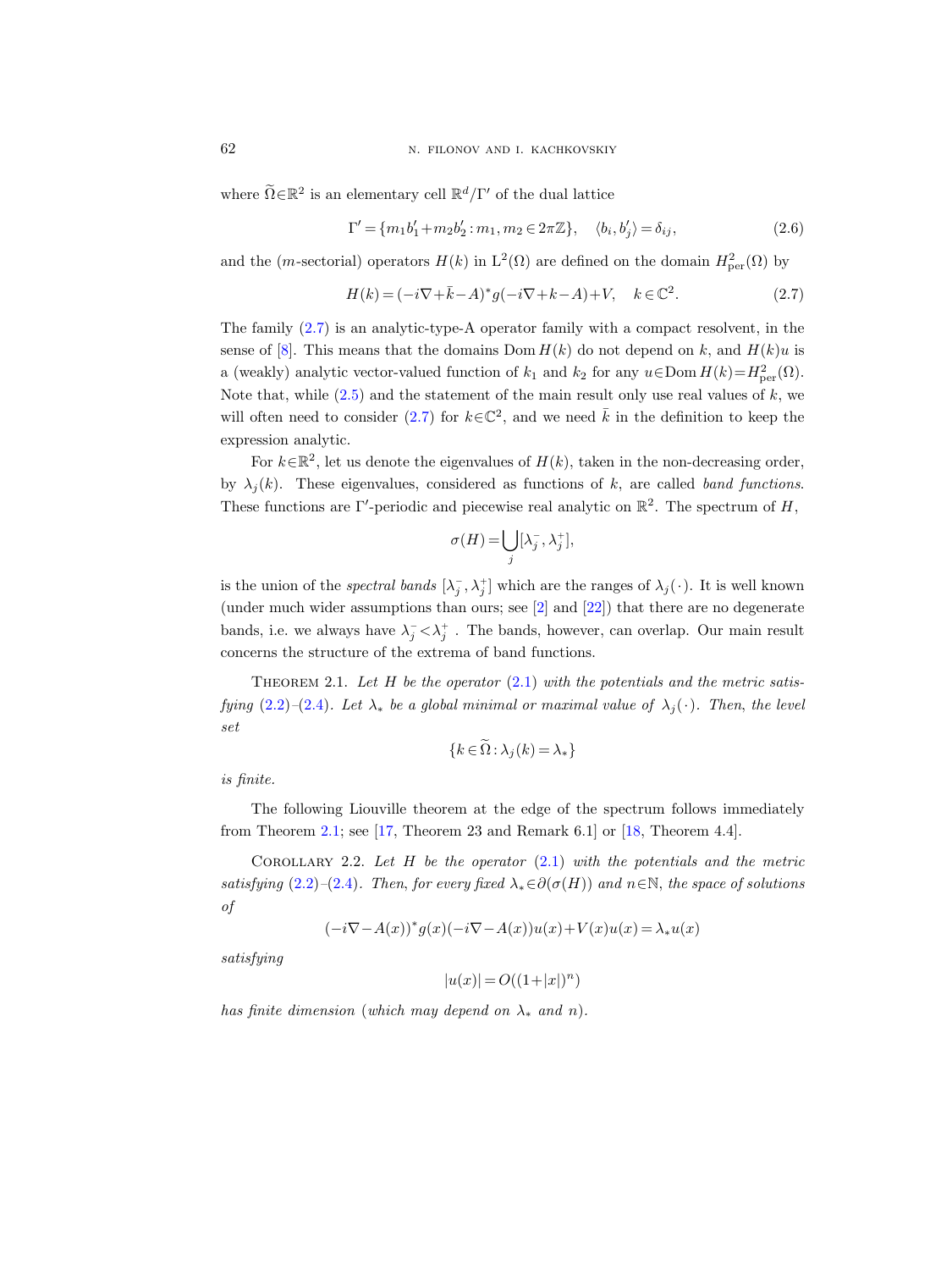where  $\widetilde{\Omega} \in \mathbb{R}^2$  is an elementary cell  $\mathbb{R}^d/\Gamma'$  of the dual lattice

<span id="page-3-3"></span>
$$
\Gamma' = \{m_1 b_1' + m_2 b_2' : m_1, m_2 \in 2\pi \mathbb{Z}\}, \quad \langle b_i, b_j' \rangle = \delta_{ij},
$$
\n(2.6)

and the (*m*-sectorial) operators  $H(k)$  in  $L^2(\Omega)$  are defined on the domain  $H^2_{per}(\Omega)$  by

<span id="page-3-2"></span>
$$
H(k) = (-i\nabla + \bar{k} - A)^{*}g(-i\nabla + k - A) + V, \quad k \in \mathbb{C}^{2}.
$$
 (2.7)

The family  $(2.7)$  is an analytic-type-A operator family with a compact resolvent, in the sense of [\[8\]](#page-20-16). This means that the domains Dom  $H(k)$  do not depend on k, and  $H(k)u$  is a (weakly) analytic vector-valued function of  $k_1$  and  $k_2$  for any  $u \in \text{Dom } H(k) = H^2_{\text{per}}(\Omega)$ . Note that, while  $(2.5)$  and the statement of the main result only use real values of k, we will often need to consider [\(2.7\)](#page-3-2) for  $k \in \mathbb{C}^2$ , and we need  $\overline{k}$  in the definition to keep the expression analytic.

For  $k \in \mathbb{R}^2$ , let us denote the eigenvalues of  $H(k)$ , taken in the non-decreasing order, by  $\lambda_i(k)$ . These eigenvalues, considered as functions of k, are called band functions. These functions are Γ'-periodic and piecewise real analytic on  $\mathbb{R}^2$ . The spectrum of H,

$$
\sigma(H) = \bigcup_j [\lambda_j^-, \lambda_j^+],
$$

is the union of the *spectral bands*  $[\lambda_j^-, \lambda_j^+]$  which are the ranges of  $\lambda_j(\cdot)$ . It is well known (under much wider assumptions than ours; see  $[2]$  and  $[22]$ ) that there are no degenerate bands, i.e. we always have  $\lambda_j^- \langle \lambda_j^+$ . The bands, however, can overlap. Our main result concerns the structure of the extrema of band functions.

<span id="page-3-0"></span>THEOREM 2.1. Let  $H$  be the operator [\(2.1\)](#page-2-0) with the potentials and the metric satis-fying [\(2.2\)](#page-2-2)–[\(2.4\)](#page-2-3). Let  $\lambda_*$  be a global minimal or maximal value of  $\lambda_i(\cdot)$ . Then, the level set

$$
\{k \in \widetilde{\Omega} : \lambda_j(k) = \lambda_*\}
$$

is finite.

The following Liouville theorem at the edge of the spectrum follows immediately from Theorem [2.1;](#page-3-0) see  $[17,$  Theorem 23 and Remark 6.1] or  $[18,$  Theorem 4.4].

<span id="page-3-1"></span>COROLLARY 2.2. Let  $H$  be the operator  $(2.1)$  with the potentials and the metric satisfying [\(2.2\)](#page-2-2)–[\(2.4\)](#page-2-3). Then, for every fixed  $\lambda_* \in \partial(\sigma(H))$  and  $n \in \mathbb{N}$ , the space of solutions of

$$
(-i\nabla - A(x))^* g(x) (-i\nabla - A(x))u(x) + V(x)u(x) = \lambda_* u(x)
$$

satisfying

 $|u(x)| = O((1+|x|)^n)$ 

has finite dimension (which may depend on  $\lambda_*$  and n).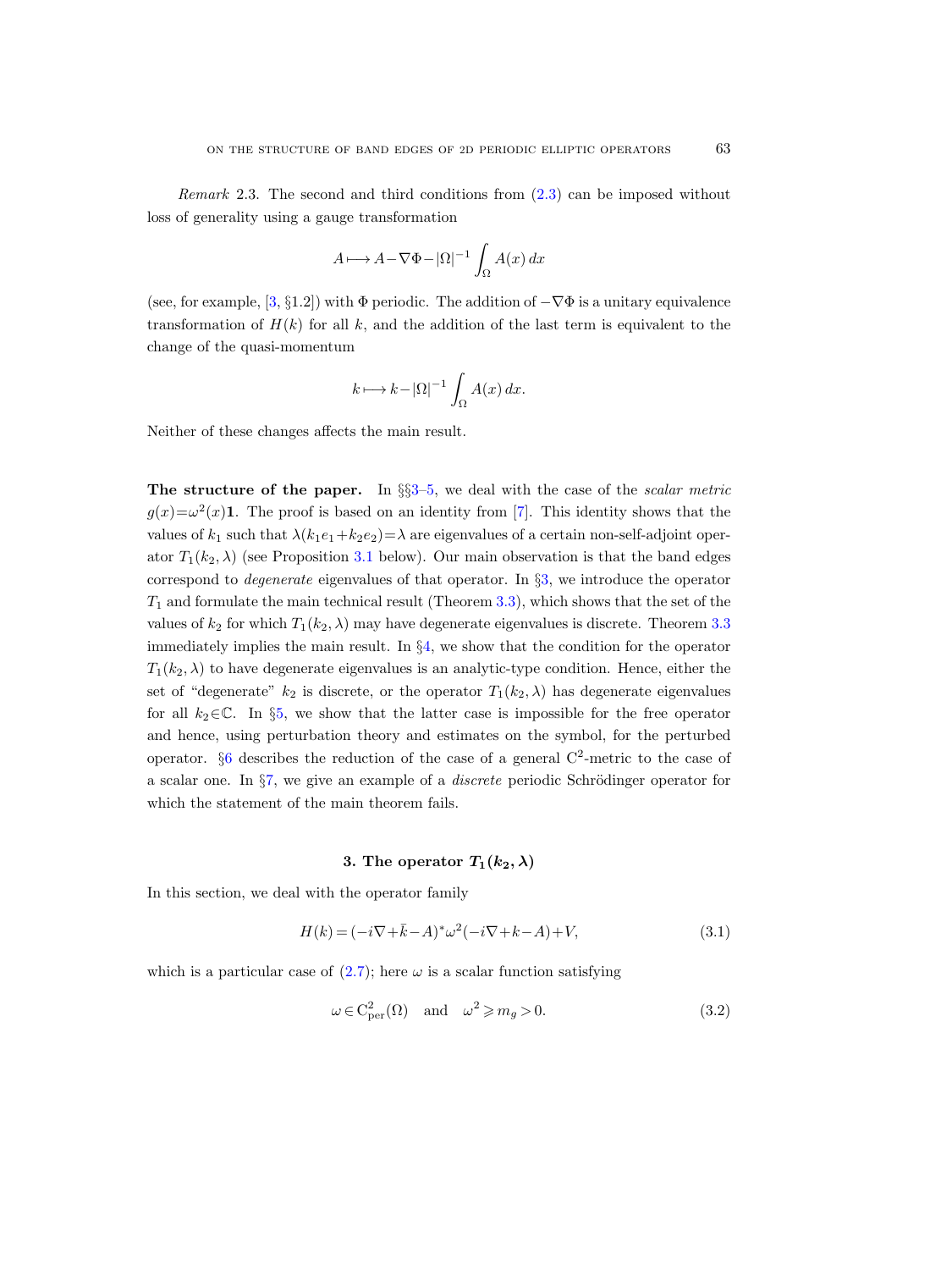<span id="page-4-0"></span>Remark 2.3. The second and third conditions from [\(2.3\)](#page-2-4) can be imposed without loss of generality using a gauge transformation

$$
A \longmapsto A - \nabla \Phi - |\Omega|^{-1} \int_{\Omega} A(x) \, dx
$$

(see, for example, [\[3,](#page-19-4) §1.2]) with  $\Phi$  periodic. The addition of  $-\nabla\Phi$  is a unitary equivalence transformation of  $H(k)$  for all k, and the addition of the last term is equivalent to the change of the quasi-momentum

$$
k \longmapsto k - |\Omega|^{-1} \int_{\Omega} A(x) \, dx.
$$

Neither of these changes affects the main result.

The structure of the paper. In  $\S$ §[3–](#page-4-1)[5,](#page-10-0) we deal with the case of the scalar metric  $g(x) = \omega^2(x)$ 1. The proof is based on an identity from [\[7\]](#page-20-17). This identity shows that the values of  $k_1$  such that  $\lambda(k_1e_1+k_2e_2)=\lambda$  are eigenvalues of a certain non-self-adjoint operator  $T_1(k_2, \lambda)$  (see Proposition [3.1](#page-5-0) below). Our main observation is that the band edges correspond to *degenerate* eigenvalues of that operator. In  $\S3$ , we introduce the operator  $T_1$  and formulate the main technical result (Theorem [3.3\)](#page-7-0), which shows that the set of the values of  $k_2$  for which  $T_1(k_2, \lambda)$  may have degenerate eigenvalues is discrete. Theorem [3.3](#page-7-0) immediately implies the main result. In §[4,](#page-8-0) we show that the condition for the operator  $T_1(k_2, \lambda)$  to have degenerate eigenvalues is an analytic-type condition. Hence, either the set of "degenerate"  $k_2$  is discrete, or the operator  $T_1(k_2, \lambda)$  has degenerate eigenvalues for all  $k_2 \in \mathbb{C}$ . In §[5,](#page-10-0) we show that the latter case is impossible for the free operator and hence, using perturbation theory and estimates on the symbol, for the perturbed operator.  $\S6$  $\S6$  describes the reduction of the case of a general C<sup>2</sup>-metric to the case of a scalar one. In  $\S7$ , we give an example of a *discrete* periodic Schrödinger operator for which the statement of the main theorem fails.

# 3. The operator  $T_1(k_2, \lambda)$

<span id="page-4-1"></span>In this section, we deal with the operator family

<span id="page-4-3"></span>
$$
H(k) = (-i\nabla + \bar{k} - A)^{*}\omega^{2}(-i\nabla + k - A) + V,
$$
\n(3.1)

which is a particular case of  $(2.7)$ ; here  $\omega$  is a scalar function satisfying

<span id="page-4-2"></span>
$$
\omega \in C_{\text{per}}^2(\Omega) \quad \text{and} \quad \omega^2 \geqslant m_g > 0. \tag{3.2}
$$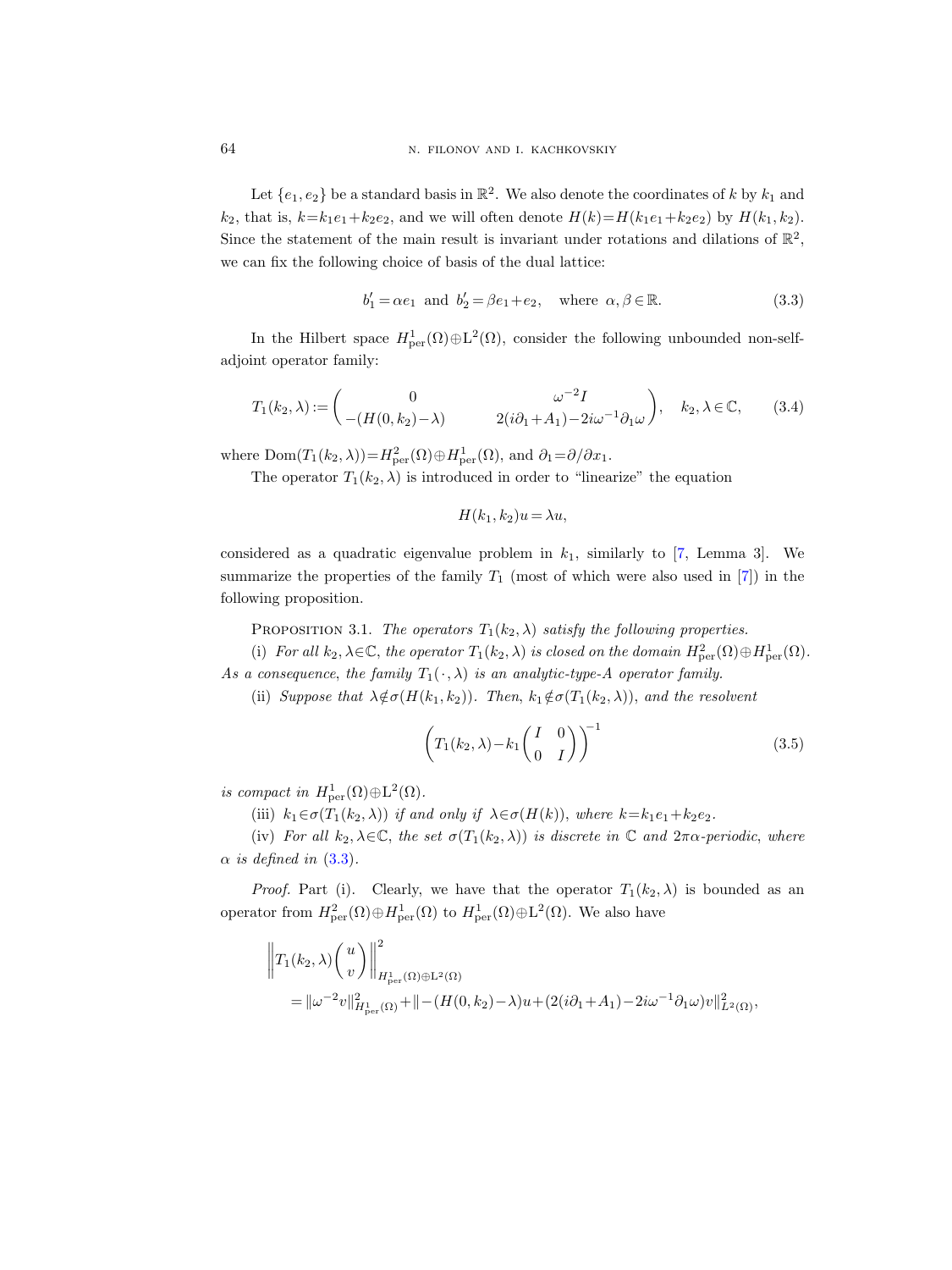Let  $\{e_1, e_2\}$  be a standard basis in  $\mathbb{R}^2$ . We also denote the coordinates of k by  $k_1$  and  $k_2$ , that is,  $k=k_1e_1+k_2e_2$ , and we will often denote  $H(k)=H(k_1e_1+k_2e_2)$  by  $H(k_1, k_2)$ . Since the statement of the main result is invariant under rotations and dilations of  $\mathbb{R}^2$ , we can fix the following choice of basis of the dual lattice:

<span id="page-5-1"></span>
$$
b'_1 = \alpha e_1 \text{ and } b'_2 = \beta e_1 + e_2, \text{ where } \alpha, \beta \in \mathbb{R}.
$$
 (3.3)

In the Hilbert space  $H^1_{per}(\Omega) \oplus L^2(\Omega)$ , consider the following unbounded non-selfadjoint operator family:

$$
T_1(k_2, \lambda) := \begin{pmatrix} 0 & \omega^{-2}I \\ -(H(0, k_2) - \lambda) & 2(i\partial_1 + A_1) - 2i\omega^{-1}\partial_1\omega \end{pmatrix}, \quad k_2, \lambda \in \mathbb{C}, \quad (3.4)
$$

where  $Dom(T_1(k_2, \lambda)) = H_{\text{per}}^2(\Omega) \oplus H_{\text{per}}^1(\Omega)$ , and  $\partial_1 = \partial/\partial x_1$ .

The operator  $T_1(k_2, \lambda)$  is introduced in order to "linearize" the equation

 $H(k_1, k_2)u = \lambda u,$ 

considered as a quadratic eigenvalue problem in  $k_1$ , similarly to [\[7,](#page-20-17) Lemma 3]. We summarize the properties of the family  $T_1$  (most of which were also used in [\[7\]](#page-20-17)) in the following proposition.

PROPOSITION 3.1. The operators  $T_1(k_2, \lambda)$  satisfy the following properties.

<span id="page-5-0"></span>(i) For all  $k_2, \lambda \in \mathbb{C}$ , the operator  $T_1(k_2, \lambda)$  is closed on the domain  $H^2_{per}(\Omega) \oplus H^1_{per}(\Omega)$ . As a consequence, the family  $T_1(\cdot, \lambda)$  is an analytic-type-A operator family.

(ii) Suppose that  $\lambda \notin \sigma(H(k_1, k_2))$ . Then,  $k_1 \notin \sigma(T_1(k_2, \lambda))$ , and the resolvent

<span id="page-5-2"></span>
$$
\left(T_1(k_2,\lambda)-k_1\begin{pmatrix}I&0\\0&I\end{pmatrix}\right)^{-1}
$$
\n(3.5)

is compact in  $H^1_{\text{per}}(\Omega)\oplus \text{L}^2(\Omega)$ .

(iii)  $k_1 \in \sigma(T_1(k_2, \lambda))$  if and only if  $\lambda \in \sigma(H(k))$ , where  $k = k_1 e_1 + k_2 e_2$ .

(iv) For all  $k_2, \lambda \in \mathbb{C}$ , the set  $\sigma(T_1(k_2, \lambda))$  is discrete in  $\mathbb{C}$  and  $2\pi\alpha$ -periodic, where  $\alpha$  is defined in [\(3.3\)](#page-5-1).

*Proof.* Part (i). Clearly, we have that the operator  $T_1(k_2, \lambda)$  is bounded as an operator from  $H^2_{\text{per}}(\Omega) \oplus H^1_{\text{per}}(\Omega)$  to  $H^1_{\text{per}}(\Omega) \oplus L^2(\Omega)$ . We also have

$$
\left\|T_1(k_2,\lambda)\begin{pmatrix}u\\v\end{pmatrix}\right\|_{H_{\text{per}}^1(\Omega)\oplus L^2(\Omega)}^2
$$
  
=  $\|\omega^{-2}v\|_{H_{\text{per}}^1(\Omega)}^2 + \|-(H(0,k_2)-\lambda)u + (2(i\partial_1 + A_1) - 2i\omega^{-1}\partial_1\omega)v\|_{L^2(\Omega)}^2$ ,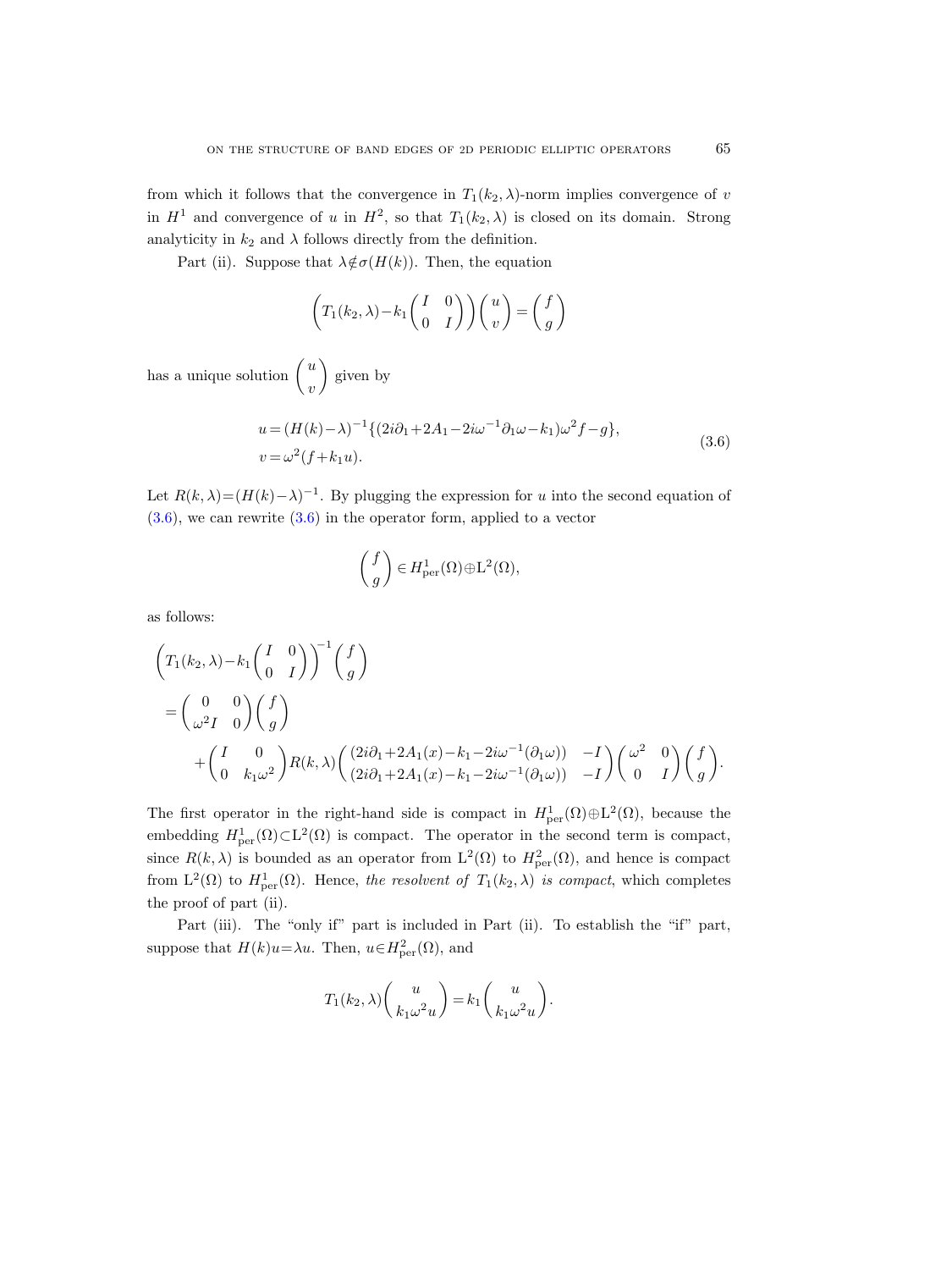from which it follows that the convergence in  $T_1(k_2, \lambda)$ -norm implies convergence of v in  $H^1$  and convergence of u in  $H^2$ , so that  $T_1(k_2, \lambda)$  is closed on its domain. Strong analyticity in  $k_2$  and  $\lambda$  follows directly from the definition.

Part (ii). Suppose that  $\lambda \notin \sigma(H(k))$ . Then, the equation

$$
\left(T_1(k_2,\lambda)-k_1\begin{pmatrix}I&0\\0&I\end{pmatrix}\right)\begin{pmatrix}u\\v\end{pmatrix} = \begin{pmatrix}f\\g\end{pmatrix}
$$

has a unique solution  $\int u$ v given by

$$
u = (H(k) - \lambda)^{-1} \{ (2i\partial_1 + 2A_1 - 2i\omega^{-1}\partial_1\omega - k_1)\omega^2 f - g \},
$$
  
\n
$$
v = \omega^2 (f + k_1 u).
$$
 (3.6)

.

<span id="page-6-0"></span>Let  $R(k, \lambda) = (H(k) - \lambda)^{-1}$ . By plugging the expression for u into the second equation of  $(3.6)$ , we can rewrite  $(3.6)$  in the operator form, applied to a vector

$$
\binom{f}{g} \in H^1_{\text{per}}(\Omega) \oplus \mathcal{L}^2(\Omega),
$$

as follows:

$$
\begin{aligned}\n&\left(T_1(k_2,\lambda)-k_1\binom{I-0}{0-I}\right)^{-1}\binom{f}{g} \\
&=\binom{0}{\omega^2 I-0}\binom{f}{g} \\
&\quad+\binom{I-0}{0-k_1\omega^2}R(k,\lambda)\binom{(2i\partial_1+2A_1(x)-k_1-2i\omega^{-1}(\partial_1\omega))}{(2i\partial_1+2A_1(x)-k_1-2i\omega^{-1}(\partial_1\omega))} -I\right)\binom{\omega^2-0}{0-I}\binom{f}{g}\n\end{aligned}
$$

The first operator in the right-hand side is compact in  $H^1_{\text{per}}(\Omega) \oplus L^2(\Omega)$ , because the embedding  $H^1_{per}(\Omega) \subset L^2(\Omega)$  is compact. The operator in the second term is compact, since  $R(k, \lambda)$  is bounded as an operator from  $L^2(\Omega)$  to  $H^2_{per}(\Omega)$ , and hence is compact from  $L^2(\Omega)$  to  $H^1_{per}(\Omega)$ . Hence, the resolvent of  $T_1(k_2,\lambda)$  is compact, which completes the proof of part (ii).

Part (iii). The "only if" part is included in Part (ii). To establish the "if" part, suppose that  $H(k)u = \lambda u$ . Then,  $u \in H^2_{per}(\Omega)$ , and

$$
T_1(k_2,\lambda)\binom{u}{k_1\omega^2u} = k_1\binom{u}{k_1\omega^2u}.
$$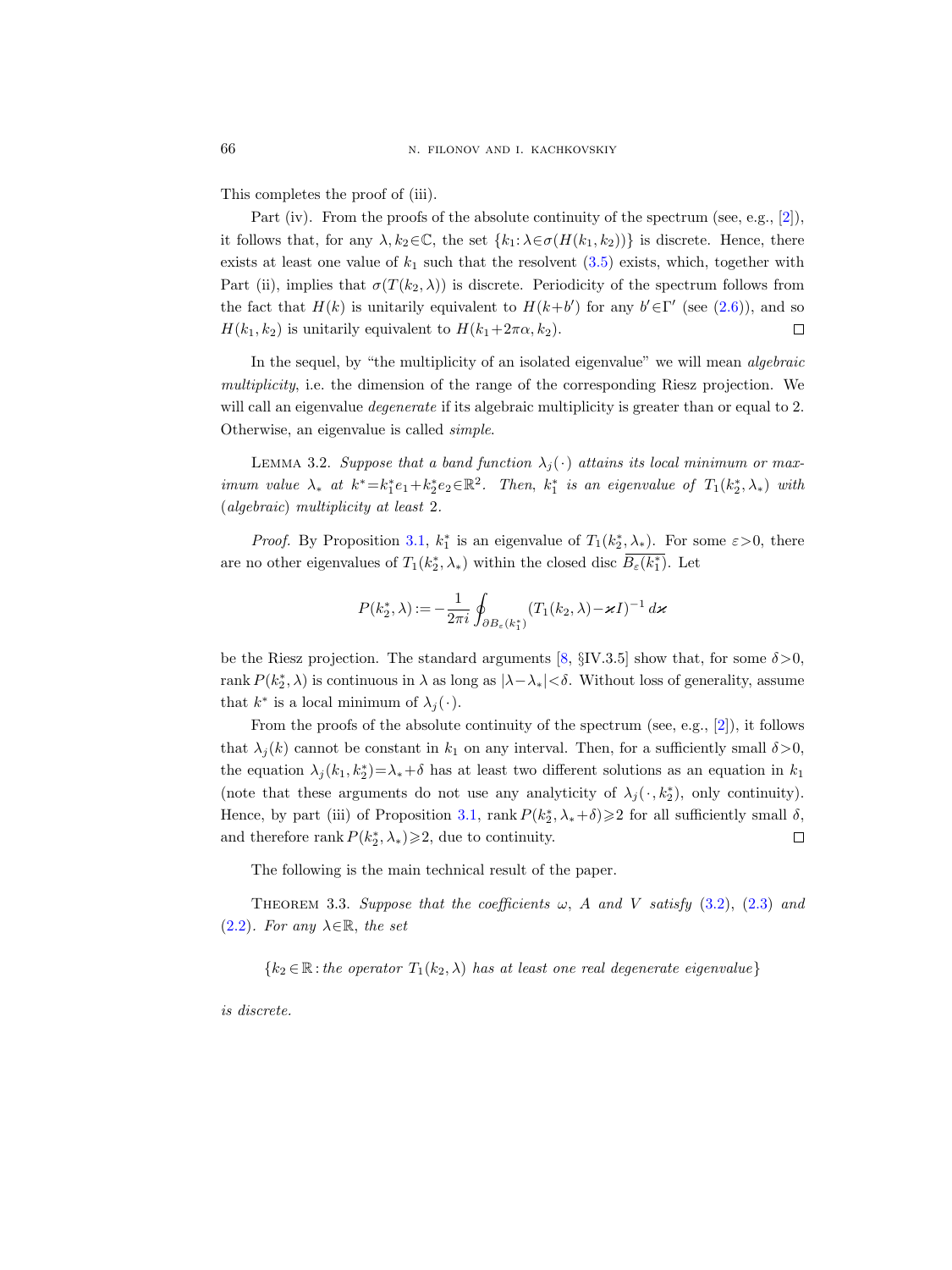This completes the proof of (iii).

Part (iv). From the proofs of the absolute continuity of the spectrum (see, e.g., [\[2\]](#page-19-3)), it follows that, for any  $\lambda, k_2 \in \mathbb{C}$ , the set  $\{k_1: \lambda \in \sigma(H(k_1, k_2))\}$  is discrete. Hence, there exists at least one value of  $k_1$  such that the resolvent  $(3.5)$  exists, which, together with Part (ii), implies that  $\sigma(T(k_2, \lambda))$  is discrete. Periodicity of the spectrum follows from the fact that  $H(k)$  is unitarily equivalent to  $H(k+b')$  for any  $b' \in \Gamma'$  (see [\(2.6\)](#page-3-3)), and so  $H(k_1, k_2)$  is unitarily equivalent to  $H(k_1+2\pi\alpha, k_2)$ .  $\Box$ 

In the sequel, by "the multiplicity of an isolated eigenvalue" we will mean algebraic multiplicity, i.e. the dimension of the range of the corresponding Riesz projection. We will call an eigenvalue *degenerate* if its algebraic multiplicity is greater than or equal to 2. Otherwise, an eigenvalue is called simple.

<span id="page-7-1"></span>LEMMA 3.2. Suppose that a band function  $\lambda_j(\cdot)$  attains its local minimum or maximum value  $\lambda_*$  at  $k^* = k_1^* e_1 + k_2^* e_2 \in \mathbb{R}^2$ . Then,  $k_1^*$  is an eigenvalue of  $T_1(k_2^*, \lambda_*)$  with (algebraic) multiplicity at least 2.

*Proof.* By Proposition [3.1,](#page-5-0)  $k_1^*$  is an eigenvalue of  $T_1(k_2^*, \lambda_*)$ . For some  $\varepsilon > 0$ , there are no other eigenvalues of  $T_1(k_2^*,\lambda_*)$  within the closed disc  $\overline{B_\varepsilon(k_1^*)}$ . Let

$$
P(k_2^*, \lambda) := -\frac{1}{2\pi i} \oint_{\partial B_{\varepsilon}(k_1^*)} (T_1(k_2, \lambda) - \varkappa I)^{-1} d\varkappa
$$

be the Riesz projection. The standard arguments [\[8,](#page-20-16)  $\S$ IV.3.5] show that, for some  $\delta > 0$ , rank  $P(k_2^*,\lambda)$  is continuous in  $\lambda$  as long as  $|\lambda-\lambda_*|<\delta$ . Without loss of generality, assume that  $k^*$  is a local minimum of  $\lambda_j(\cdot)$ .

From the proofs of the absolute continuity of the spectrum (see, e.g.,  $[2]$ ), it follows that  $\lambda_i(k)$  cannot be constant in  $k_1$  on any interval. Then, for a sufficiently small  $\delta > 0$ , the equation  $\lambda_j(k_1, k_2^*) = \lambda_* + \delta$  has at least two different solutions as an equation in  $k_1$ (note that these arguments do not use any analyticity of  $\lambda_j(\cdot, k_2^*)$ , only continuity). Hence, by part (iii) of Proposition [3.1,](#page-5-0) rank  $P(k_2^*, \lambda_* + \delta) \geq 2$  for all sufficiently small  $\delta$ , and therefore rank  $P(k_2^*, \lambda_*) \geq 2$ , due to continuity.  $\Box$ 

The following is the main technical result of the paper.

<span id="page-7-0"></span>THEOREM 3.3. Suppose that the coefficients  $\omega$ , A and V satisfy [\(3.2\)](#page-4-2), [\(2.3\)](#page-2-4) and  $(2.2)$ . For any  $\lambda \in \mathbb{R}$ , the set

 ${k_2 \in \mathbb{R}: the operator T_1(k_2, \lambda) has at least one real degenerate eigenvalue}$ 

is discrete.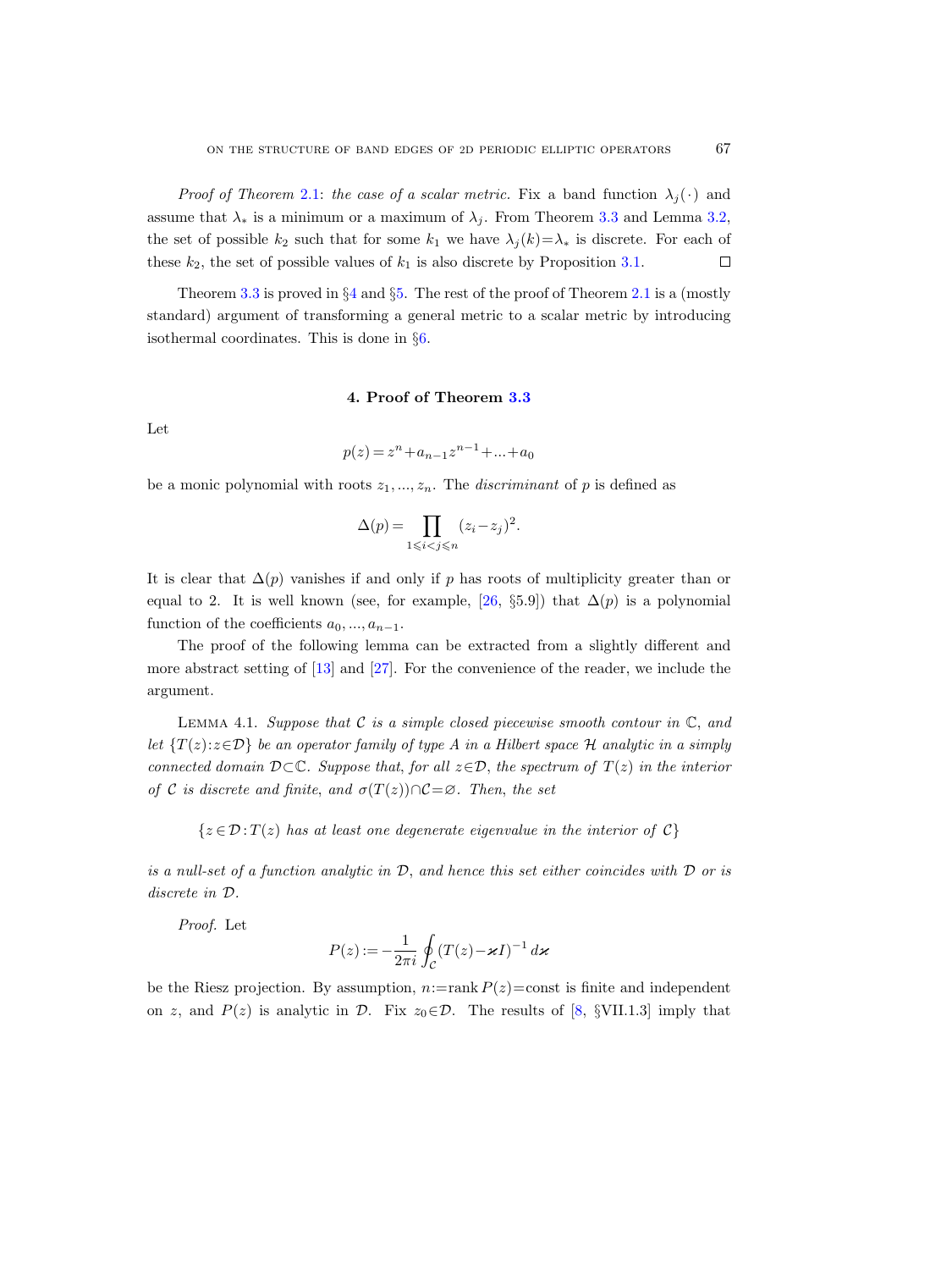*Proof of Theorem [2.1:](#page-3-0) the case of a scalar metric.* Fix a band function  $\lambda_i(\cdot)$  and assume that  $\lambda_*$  is a minimum or a maximum of  $\lambda_i$ . From Theorem [3.3](#page-7-0) and Lemma [3.2,](#page-7-1) the set of possible  $k_2$  such that for some  $k_1$  we have  $\lambda_j(k)=\lambda_*$  is discrete. For each of these  $k_2$ , the set of possible values of  $k_1$  is also discrete by Proposition [3.1.](#page-5-0)  $\Box$ 

Theorem [3.3](#page-7-0) is proved in  $\S 4$  $\S 4$  and  $\S 5$ . The rest of the proof of Theorem [2.1](#page-3-0) is a (mostly standard) argument of transforming a general metric to a scalar metric by introducing isothermal coordinates. This is done in §[6.](#page-15-0)

#### 4. Proof of Theorem [3.3](#page-7-0)

<span id="page-8-0"></span>Let

$$
p(z) = zn + an-1zn-1 + ... + a0
$$

be a monic polynomial with roots  $z_1, ..., z_n$ . The *discriminant* of p is defined as

$$
\Delta(p) = \prod_{1 \leq i < j \leq n} (z_i - z_j)^2.
$$

It is clear that  $\Delta(p)$  vanishes if and only if p has roots of multiplicity greater than or equal to 2. It is well known (see, for example, [\[26,](#page-20-18) §5.9]) that  $\Delta(p)$  is a polynomial function of the coefficients  $a_0, ..., a_{n-1}$ .

The proof of the following lemma can be extracted from a slightly different and more abstract setting of [\[13\]](#page-20-15) and [\[27\]](#page-20-19). For the convenience of the reader, we include the argument.

<span id="page-8-1"></span>LEMMA 4.1. Suppose that  $C$  is a simple closed piecewise smooth contour in  $\mathbb{C}$ , and let  $\{T(z):z\in\mathcal{D}\}\$ be an operator family of type A in a Hilbert space H analytic in a simply connected domain  $\mathcal{D}\subset\mathbb{C}$ . Suppose that, for all  $z\in\mathcal{D}$ , the spectrum of  $T(z)$  in the interior of C is discrete and finite, and  $\sigma(T(z))\cap \mathcal{C}=\emptyset$ . Then, the set

 $\{z \in \mathcal{D}: T(z)$  has at least one degenerate eigenvalue in the interior of  $\mathcal{C}\}$ 

is a null-set of a function analytic in  $\mathcal{D}$ , and hence this set either coincides with  $\mathcal D$  or is discrete in D.

Proof. Let

$$
P(z) := -\frac{1}{2\pi i} \oint_C (T(z) - \varkappa I)^{-1} d\varkappa
$$

be the Riesz projection. By assumption,  $n:=\text{rank } P(z)=\text{const}$  is finite and independent on z, and  $P(z)$  is analytic in D. Fix  $z_0 \in \mathcal{D}$ . The results of [\[8,](#page-20-16) §VII.1.3] imply that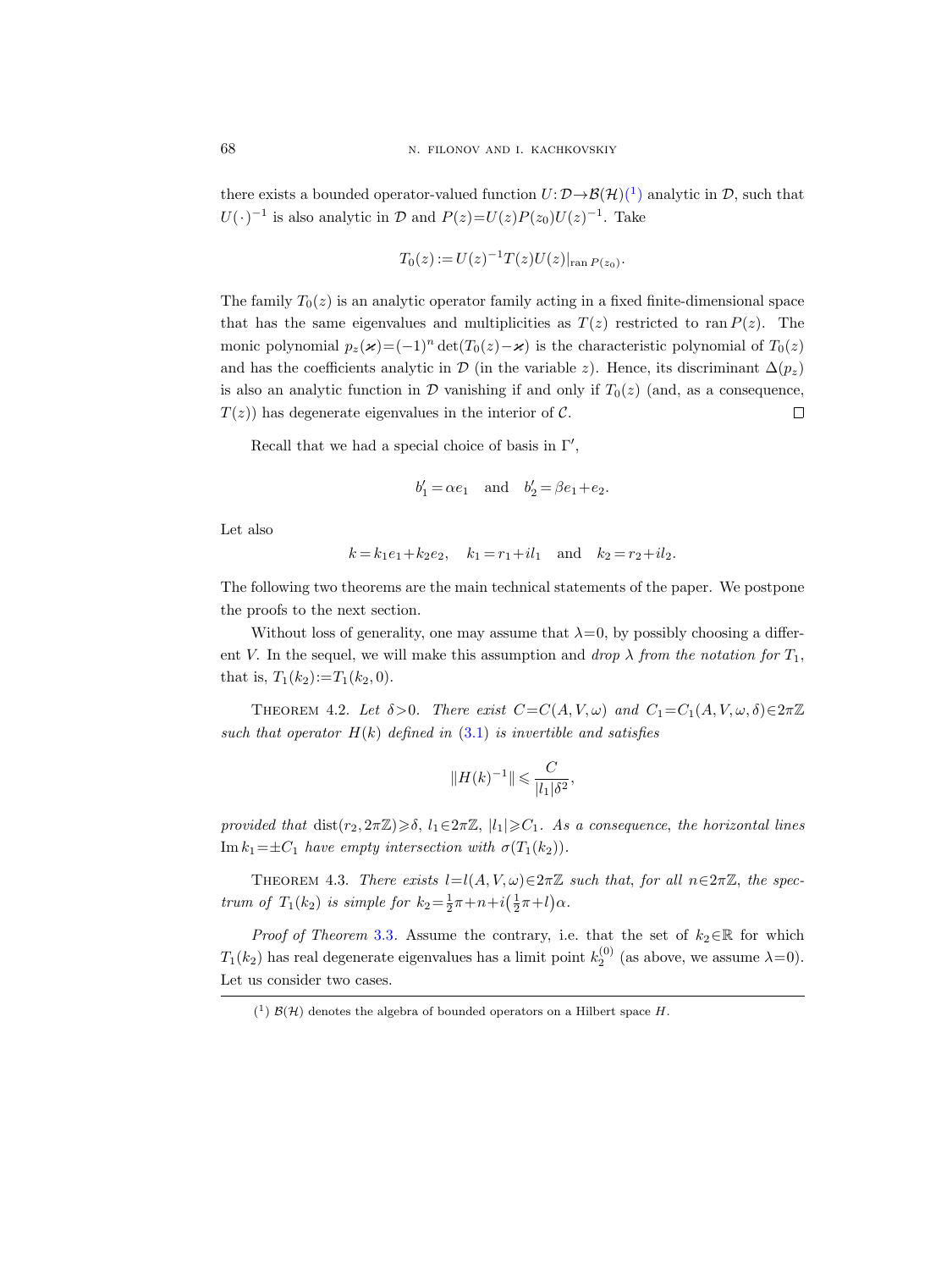there exists a bounded operator-valued function  $U: \mathcal{D} \to \mathcal{B}(\mathcal{H})(1)$  $U: \mathcal{D} \to \mathcal{B}(\mathcal{H})(1)$  $U: \mathcal{D} \to \mathcal{B}(\mathcal{H})(1)$  analytic in  $\mathcal{D}$ , such that  $U(\cdot)^{-1}$  is also analytic in  $\mathcal{D}$  and  $P(z) = U(z)P(z_0)U(z)^{-1}$ . Take

$$
T_0(z) := U(z)^{-1} T(z) U(z)|_{\text{ran } P(z_0)}.
$$

The family  $T_0(z)$  is an analytic operator family acting in a fixed finite-dimensional space that has the same eigenvalues and multiplicities as  $T(z)$  restricted to ran  $P(z)$ . The monic polynomial  $p_z(\boldsymbol{x})=(-1)^n \det(T_0(z)-\boldsymbol{x})$  is the characteristic polynomial of  $T_0(z)$ and has the coefficients analytic in D (in the variable z). Hence, its discriminant  $\Delta(p_z)$ is also an analytic function in  $\mathcal D$  vanishing if and only if  $T_0(z)$  (and, as a consequence,  $T(z)$ ) has degenerate eigenvalues in the interior of C.  $\Box$ 

Recall that we had a special choice of basis in  $\Gamma'$ ,

$$
b'_1 = \alpha e_1
$$
 and  $b'_2 = \beta e_1 + e_2$ .

Let also

$$
k = k_1 e_1 + k_2 e_2
$$
,  $k_1 = r_1 + i l_1$  and  $k_2 = r_2 + i l_2$ .

The following two theorems are the main technical statements of the paper. We postpone the proofs to the next section.

Without loss of generality, one may assume that  $\lambda=0$ , by possibly choosing a different V. In the sequel, we will make this assumption and drop  $\lambda$  from the notation for  $T_1$ , that is,  $T_1(k_2) := T_1(k_2, 0)$ .

<span id="page-9-2"></span>THEOREM 4.2. Let  $\delta > 0$ . There exist  $C = C(A, V, \omega)$  and  $C_1 = C_1(A, V, \omega, \delta) \in 2\pi\mathbb{Z}$ such that operator  $H(k)$  defined in  $(3.1)$  is invertible and satisfies

$$
||H(k)^{-1}|| \leqslant \frac{C}{|l_1|\delta^2},
$$

provided that  $dist(r_2, 2\pi\mathbb{Z}) \geq \delta$ ,  $l_1 \in 2\pi\mathbb{Z}$ ,  $|l_1| \geq C_1$ . As a consequence, the horizontal lines Im  $k_1=\pm C_1$  have empty intersection with  $\sigma(T_1(k_2)).$ 

<span id="page-9-1"></span>THEOREM 4.3. There exists  $l=l(A, V, \omega) \in 2\pi\mathbb{Z}$  such that, for all  $n \in 2\pi\mathbb{Z}$ , the spectrum of  $T_1(k_2)$  is simple for  $k_2 = \frac{1}{2}\pi + n + i(\frac{1}{2}\pi + l)\alpha$ .

*Proof of Theorem [3.3](#page-7-0).* Assume the contrary, i.e. that the set of  $k_2 \in \mathbb{R}$  for which  $T_1(k_2)$  has real degenerate eigenvalues has a limit point  $k_2^{(0)}$  (as above, we assume  $\lambda=0$ ). Let us consider two cases.

<span id="page-9-0"></span> $(1)$   $\mathcal{B}(\mathcal{H})$  denotes the algebra of bounded operators on a Hilbert space H.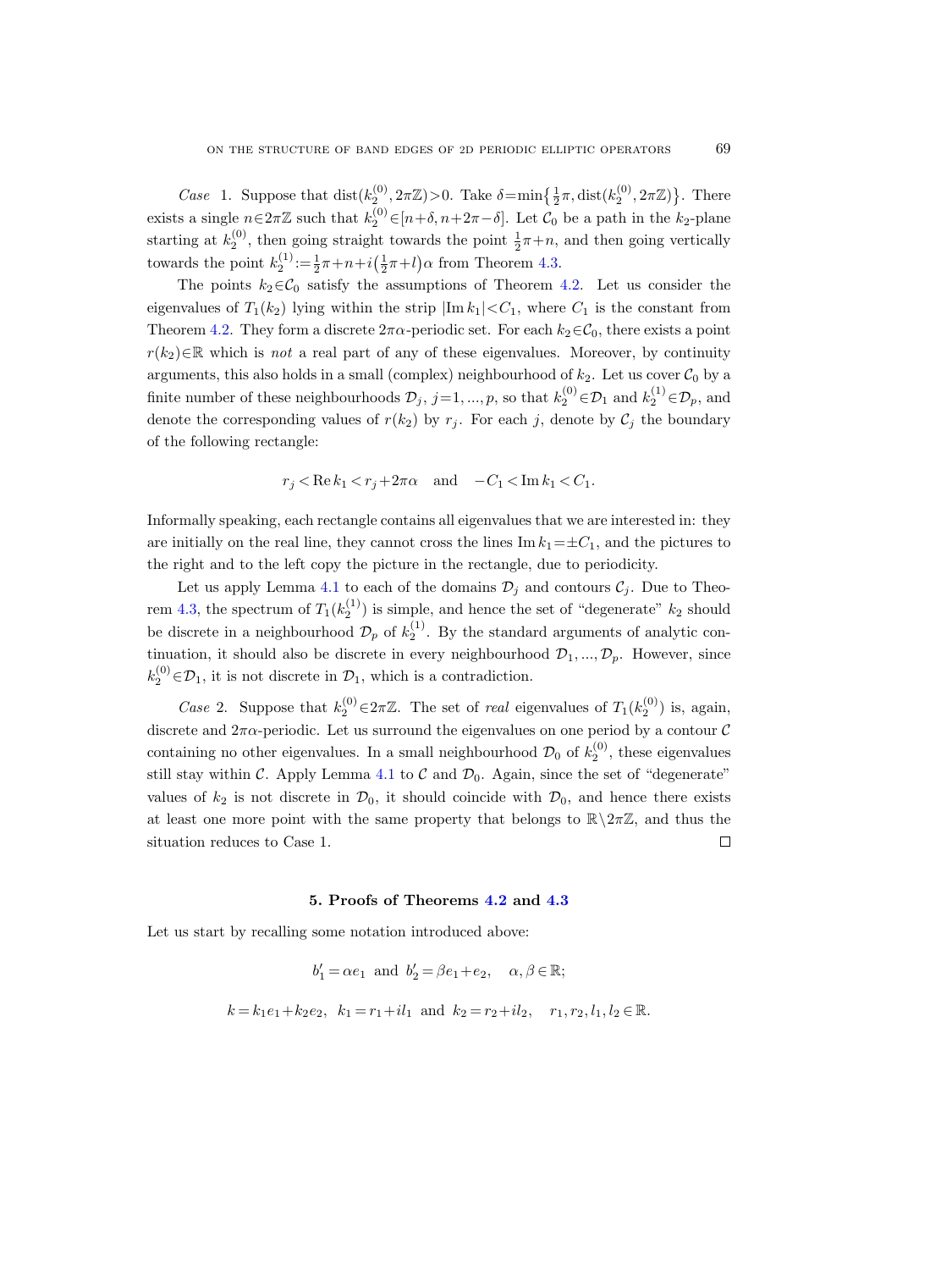Case 1. Suppose that  $dist(k_2^{(0)}, 2\pi \mathbb{Z}) > 0$ . Take  $\delta = \min\left\{\frac{1}{2}\pi, dist(k_2^{(0)}, 2\pi \mathbb{Z})\right\}$ . There exists a single  $n \in 2\pi\mathbb{Z}$  such that  $k_2^{(0)} \in [n+\delta, n+2\pi-\delta]$ . Let  $\mathcal{C}_0$  be a path in the  $k_2$ -plane starting at  $k_2^{(0)}$ , then going straight towards the point  $\frac{1}{2}\pi + n$ , and then going vertically towards the point  $k_2^{(1)} := \frac{1}{2}\pi + n + i(\frac{1}{2}\pi + l)\alpha$  from Theorem [4.3.](#page-9-1)

The points  $k_2 \in \mathcal{C}_0$  satisfy the assumptions of Theorem [4.2.](#page-9-2) Let us consider the eigenvalues of  $T_1(k_2)$  lying within the strip  $|\text{Im } k_1| < C_1$ , where  $C_1$  is the constant from Theorem [4.2.](#page-9-2) They form a discrete  $2\pi\alpha$ -periodic set. For each  $k_2 \in C_0$ , there exists a point  $r(k_2) \in \mathbb{R}$  which is not a real part of any of these eigenvalues. Moreover, by continuity arguments, this also holds in a small (complex) neighbourhood of  $k_2$ . Let us cover  $\mathcal{C}_0$  by a finite number of these neighbourhoods  $\mathcal{D}_j$ ,  $j=1, ..., p$ , so that  $k_2^{(0)} \in \mathcal{D}_1$  and  $k_2^{(1)} \in \mathcal{D}_p$ , and denote the corresponding values of  $r(k_2)$  by  $r_j$ . For each j, denote by  $\mathcal{C}_j$  the boundary of the following rectangle:

$$
r_j < \text{Re}\,k_1 < r_j + 2\pi\alpha \quad \text{and} \quad -C_1 < \text{Im}\,k_1 < C_1.
$$

Informally speaking, each rectangle contains all eigenvalues that we are interested in: they are initially on the real line, they cannot cross the lines Im  $k_1=\pm C_1$ , and the pictures to the right and to the left copy the picture in the rectangle, due to periodicity.

Let us apply Lemma [4.1](#page-8-1) to each of the domains  $\mathcal{D}_i$  and contours  $\mathcal{C}_i$ . Due to Theo-rem [4.3,](#page-9-1) the spectrum of  $T_1(k_2^{(1)})$  is simple, and hence the set of "degenerate"  $k_2$  should be discrete in a neighbourhood  $\mathcal{D}_p$  of  $k_2^{(1)}$ . By the standard arguments of analytic continuation, it should also be discrete in every neighbourhood  $\mathcal{D}_1, ..., \mathcal{D}_p$ . However, since  $k_2^{(0)} \in \mathcal{D}_1$ , it is not discrete in  $\mathcal{D}_1$ , which is a contradiction.

Case 2. Suppose that  $k_2^{(0)} \in 2\pi\mathbb{Z}$ . The set of real eigenvalues of  $T_1(k_2^{(0)})$  is, again, discrete and  $2\pi\alpha$ -periodic. Let us surround the eigenvalues on one period by a contour C containing no other eigenvalues. In a small neighbourhood  $\mathcal{D}_0$  of  $k_2^{(0)}$ , these eigenvalues still stay within  $C$ . Apply Lemma [4.1](#page-8-1) to  $C$  and  $\mathcal{D}_0$ . Again, since the set of "degenerate" values of  $k_2$  is not discrete in  $\mathcal{D}_0$ , it should coincide with  $\mathcal{D}_0$ , and hence there exists at least one more point with the same property that belongs to  $\mathbb{R}\setminus 2\pi\mathbb{Z}$ , and thus the situation reduces to Case 1.  $\Box$ 

#### 5. Proofs of Theorems [4.2](#page-9-2) and [4.3](#page-9-1)

<span id="page-10-0"></span>Let us start by recalling some notation introduced above:

$$
b'_1 = \alpha e_1
$$
 and  $b'_2 = \beta e_1 + e_2$ ,  $\alpha, \beta \in \mathbb{R}$ ;

$$
k = k_1 e_1 + k_2 e_2
$$
,  $k_1 = r_1 + i l_1$  and  $k_2 = r_2 + i l_2$ ,  $r_1, r_2, l_1, l_2 \in \mathbb{R}$ .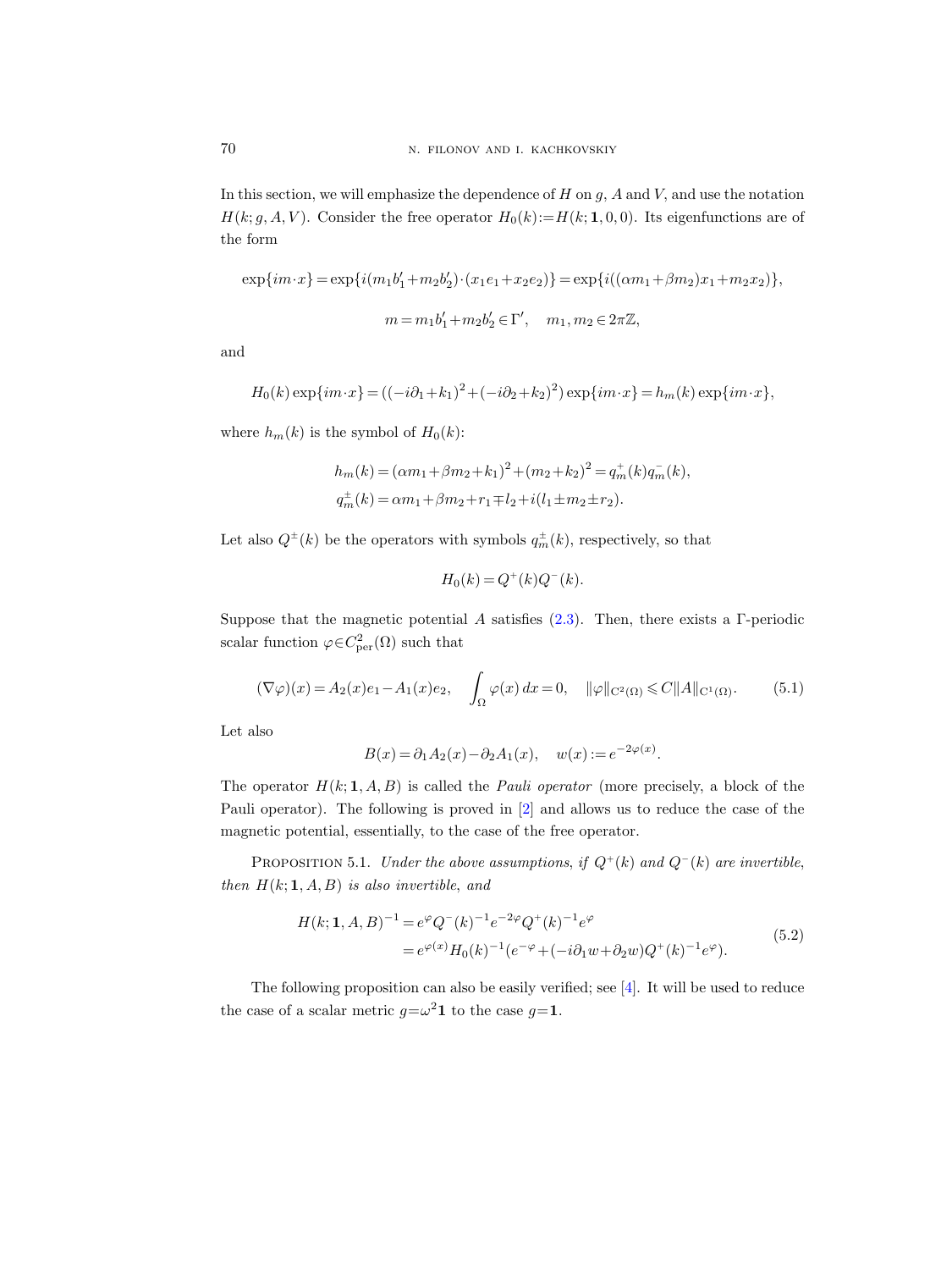In this section, we will emphasize the dependence of  $H$  on  $q$ ,  $A$  and  $V$ , and use the notation  $H(k; g, A, V)$ . Consider the free operator  $H_0(k) := H(k; 1, 0, 0)$ . Its eigenfunctions are of the form

$$
\exp\{im\cdot x\}=\exp\{i(m_1b'_1+m_2b'_2)\cdot(x_1e_1+x_2e_2)\}=\exp\{i((\alpha m_1+\beta m_2)x_1+m_2x_2)\},
$$
  

$$
m=m_1b'_1+m_2b'_2\in\Gamma',\quad m_1,m_2\in2\pi\mathbb{Z},
$$

and

$$
H_0(k) \exp\{im \cdot x\} = ((-i\partial_1 + k_1)^2 + (-i\partial_2 + k_2)^2) \exp\{im \cdot x\} = h_m(k) \exp\{im \cdot x\},\,
$$

where  $h_m(k)$  is the symbol of  $H_0(k)$ :

$$
h_m(k) = (\alpha m_1 + \beta m_2 + k_1)^2 + (m_2 + k_2)^2 = q_m^+(k)q_m^-(k),
$$
  

$$
q_m^+(k) = \alpha m_1 + \beta m_2 + r_1 \mp l_2 + i(l_1 \pm m_2 \pm r_2).
$$

Let also  $Q^{\pm}(k)$  be the operators with symbols  $q_m^{\pm}(k)$ , respectively, so that

$$
H_0(k) = Q^+(k)Q^-(k).
$$

Suppose that the magnetic potential A satisfies  $(2.3)$ . Then, there exists a Γ-periodic scalar function  $\varphi \in C^2_{\text{per}}(\Omega)$  such that

<span id="page-11-1"></span>
$$
(\nabla \varphi)(x) = A_2(x)e_1 - A_1(x)e_2, \quad \int_{\Omega} \varphi(x) dx = 0, \quad \|\varphi\|_{C^2(\Omega)} \le C \|A\|_{C^1(\Omega)}.
$$
 (5.1)

Let also

$$
B(x) = \partial_1 A_2(x) - \partial_2 A_1(x), \quad w(x) := e^{-2\varphi(x)}.
$$

The operator  $H(k; 1, A, B)$  is called the *Pauli operator* (more precisely, a block of the Pauli operator). The following is proved in [\[2\]](#page-19-3) and allows us to reduce the case of the magnetic potential, essentially, to the case of the free operator.

PROPOSITION 5.1. Under the above assumptions, if  $Q^+(k)$  and  $Q^-(k)$  are invertible, then  $H(k; 1, A, B)$  is also invertible, and

$$
H(k; 1, A, B)^{-1} = e^{\varphi} Q^{-}(k)^{-1} e^{-2\varphi} Q^{+}(k)^{-1} e^{\varphi}
$$
  
= 
$$
e^{\varphi(x)} H_0(k)^{-1} (e^{-\varphi} + (-i\partial_1 w + \partial_2 w) Q^{+}(k)^{-1} e^{\varphi}).
$$
 (5.2)

<span id="page-11-0"></span>The following proposition can also be easily verified; see [\[4\]](#page-19-5). It will be used to reduce the case of a scalar metric  $g = \omega^2 \mathbf{1}$  to the case  $g = \mathbf{1}$ .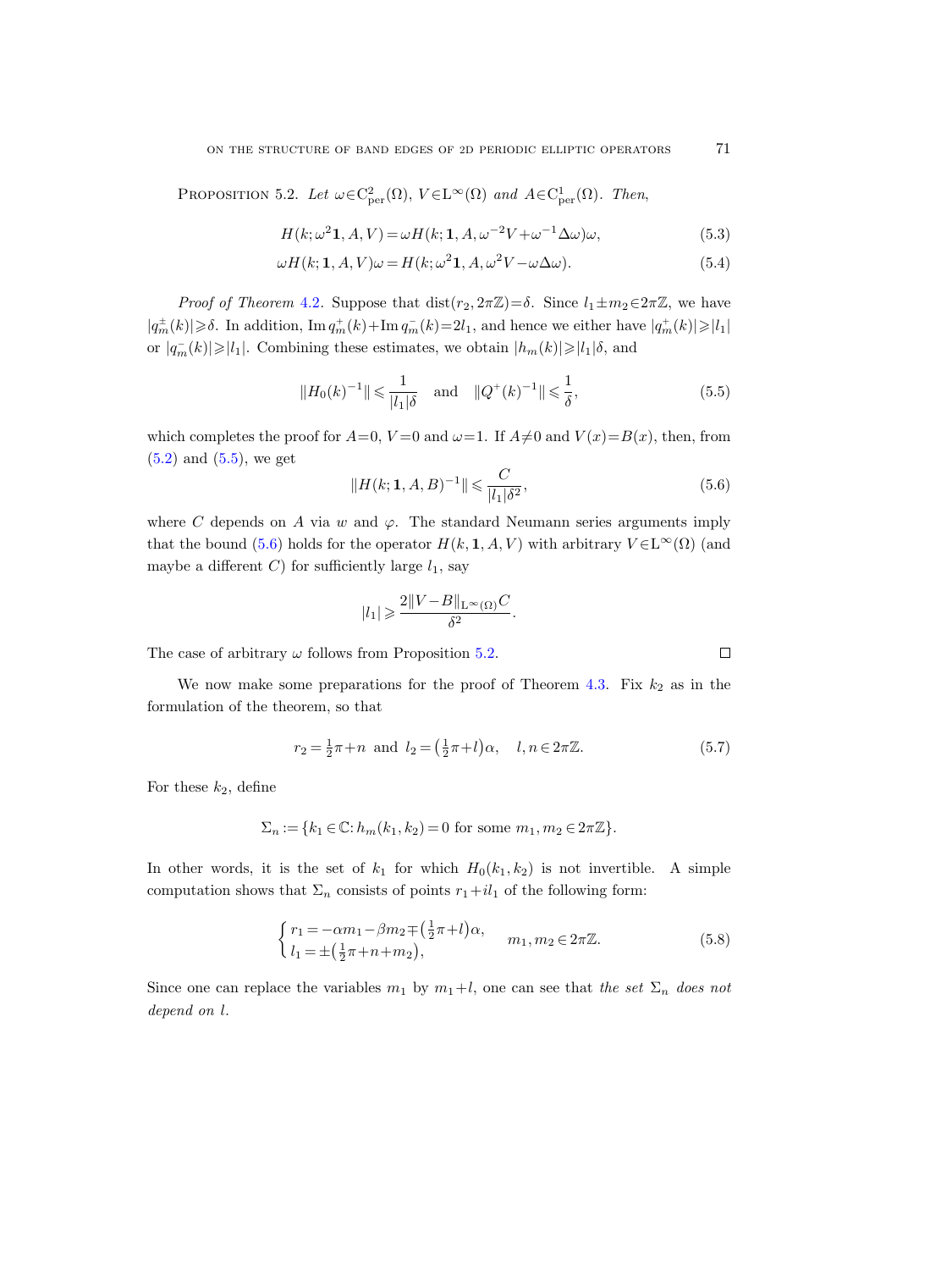<span id="page-12-2"></span>PROPOSITION 5.2. Let  $\omega \in C^2_{\text{per}}(\Omega)$ ,  $V \in L^{\infty}(\Omega)$  and  $A \in C^1_{\text{per}}(\Omega)$ . Then,

$$
H(k; \omega^2 \mathbf{1}, A, V) = \omega H(k; \mathbf{1}, A, \omega^{-2} V + \omega^{-1} \Delta \omega) \omega,
$$
\n(5.3)

$$
\omega H(k; 1, A, V)\omega = H(k; \omega^2 1, A, \omega^2 V - \omega \Delta \omega).
$$
\n(5.4)

*Proof of Theorem [4.2](#page-9-2).* Suppose that  $dist(r_2, 2\pi\mathbb{Z}) = \delta$ . Since  $l_1 \pm m_2 \in 2\pi\mathbb{Z}$ , we have  $|q_m^{\pm}(k)| \geqslant \delta$ . In addition,  $\text{Im } q_m^+(k) + \text{Im } q_m^-(k) = 2l_1$ , and hence we either have  $|q_m^+(k)| \geqslant |l_1|$ or  $|q_m^-(k)| \geqslant |l_1|$ . Combining these estimates, we obtain  $|h_m(k)| \geqslant |l_1| \delta$ , and

<span id="page-12-0"></span>
$$
||H_0(k)^{-1}|| \le \frac{1}{|l_1|\delta} \quad \text{and} \quad ||Q^+(k)^{-1}|| \le \frac{1}{\delta}, \tag{5.5}
$$

which completes the proof for  $A=0$ ,  $V=0$  and  $\omega=1$ . If  $A\neq 0$  and  $V(x)=B(x)$ , then, from [\(5.2\)](#page-11-0) and [\(5.5\)](#page-12-0), we get

<span id="page-12-1"></span>
$$
||H(k; 1, A, B)^{-1}|| \leqslant \frac{C}{|l_1|\delta^2},\tag{5.6}
$$

where C depends on A via w and  $\varphi$ . The standard Neumann series arguments imply that the bound [\(5.6\)](#page-12-1) holds for the operator  $H(k, 1, A, V)$  with arbitrary  $V \in L^{\infty}(\Omega)$  (and maybe a different C) for sufficiently large  $l_1$ , say

$$
|l_1|\geqslant \frac{2\|V-B\|_{\mathrm{L}^\infty(\Omega)}C}{\delta^2}.
$$

The case of arbitrary  $\omega$  follows from Proposition [5.2.](#page-12-2)

We now make some preparations for the proof of Theorem 4.3. Fix 
$$
k_2
$$
 as in the formulation of the theorem, so that

$$
r_2 = \frac{1}{2}\pi + n \text{ and } l_2 = (\frac{1}{2}\pi + l)\alpha, \quad l, n \in 2\pi\mathbb{Z}.
$$
 (5.7)

For these  $k_2$ , define

$$
\Sigma_n := \{ k_1 \in \mathbb{C} : h_m(k_1, k_2) = 0 \text{ for some } m_1, m_2 \in 2\pi \mathbb{Z} \}.
$$

In other words, it is the set of  $k_1$  for which  $H_0(k_1, k_2)$  is not invertible. A simple computation shows that  $\Sigma_n$  consists of points  $r_1+il_1$  of the following form:

<span id="page-12-3"></span>
$$
\begin{cases}\nr_1 = -\alpha m_1 - \beta m_2 \mp \left(\frac{1}{2}\pi + l\right)\alpha, & m_1, m_2 \in 2\pi \mathbb{Z}.\n\end{cases} (5.8)
$$

Since one can replace the variables  $m_1$  by  $m_1+l$ , one can see that the set  $\Sigma_n$  does not depend on l.

<span id="page-12-5"></span><span id="page-12-4"></span>

 $\Box$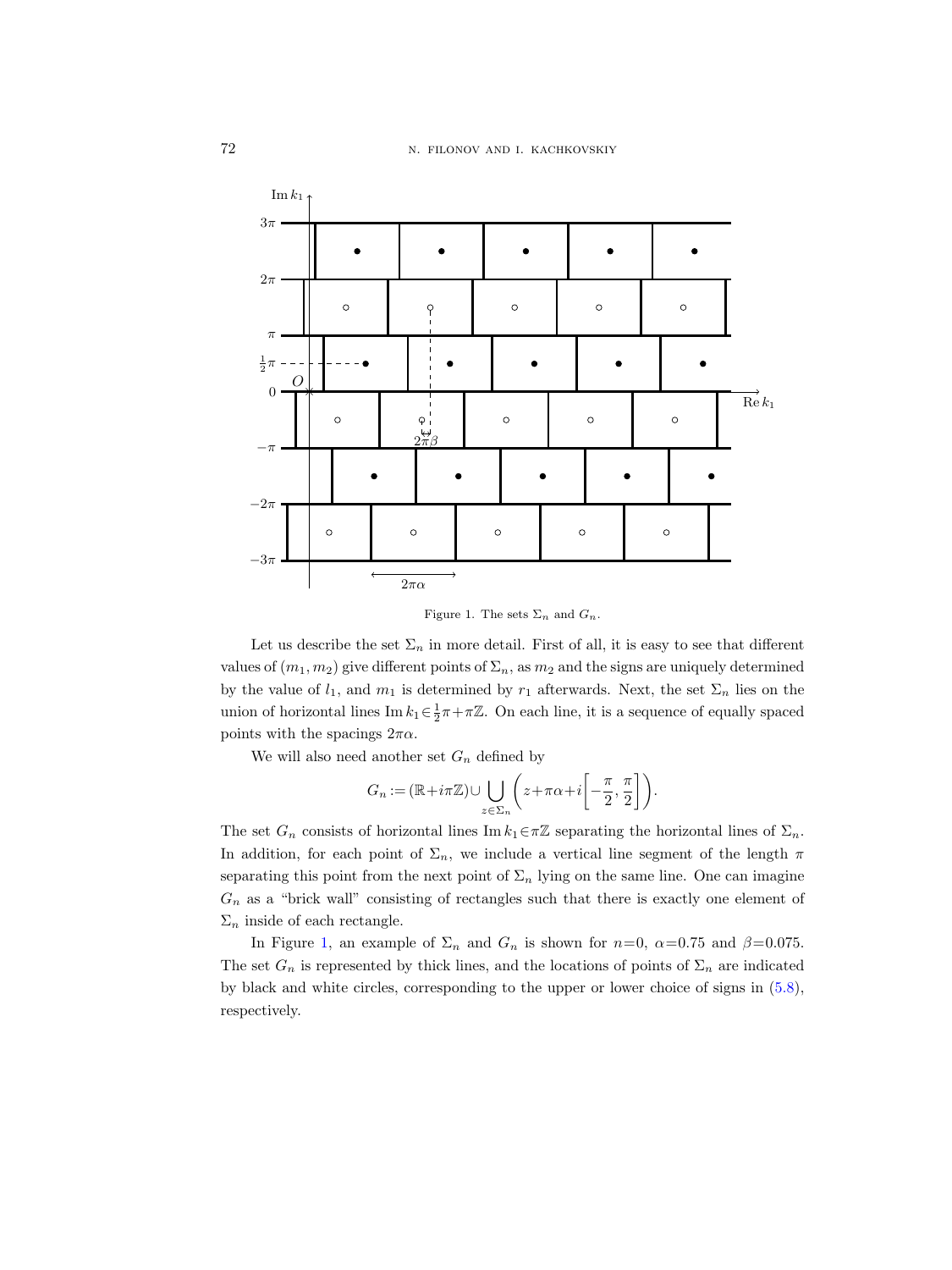

<span id="page-13-0"></span>Figure 1. The sets  $\Sigma_n$  and  $G_n$ .

Let us describe the set  $\Sigma_n$  in more detail. First of all, it is easy to see that different values of  $(m_1, m_2)$  give different points of  $\Sigma_n$ , as  $m_2$  and the signs are uniquely determined by the value of  $l_1$ , and  $m_1$  is determined by  $r_1$  afterwards. Next, the set  $\Sigma_n$  lies on the union of horizontal lines Im  $k_1 \in \frac{1}{2}\pi + \pi \mathbb{Z}$ . On each line, it is a sequence of equally spaced points with the spacings  $2\pi\alpha$ .

We will also need another set  $G_n$  defined by

$$
G_n:=(\mathbb{R}+i\pi\mathbb{Z})\cup\bigcup_{z\in\Sigma_n}\bigg(z+\pi\alpha+i\bigg[-\frac{\pi}{2},\frac{\pi}{2}\bigg]\bigg).
$$

The set  $G_n$  consists of horizontal lines Im  $k_1 \in \pi \mathbb{Z}$  separating the horizontal lines of  $\Sigma_n$ . In addition, for each point of  $\Sigma_n$ , we include a vertical line segment of the length  $\pi$ separating this point from the next point of  $\Sigma_n$  lying on the same line. One can imagine  $G_n$  as a "brick wall" consisting of rectangles such that there is exactly one element of  $\Sigma_n$  inside of each rectangle.

In Figure [1,](#page-13-0) an example of  $\Sigma_n$  and  $G_n$  is shown for  $n=0$ ,  $\alpha=0.75$  and  $\beta=0.075$ . The set  $G_n$  is represented by thick lines, and the locations of points of  $\Sigma_n$  are indicated by black and white circles, corresponding to the upper or lower choice of signs in [\(5.8\)](#page-12-3), respectively.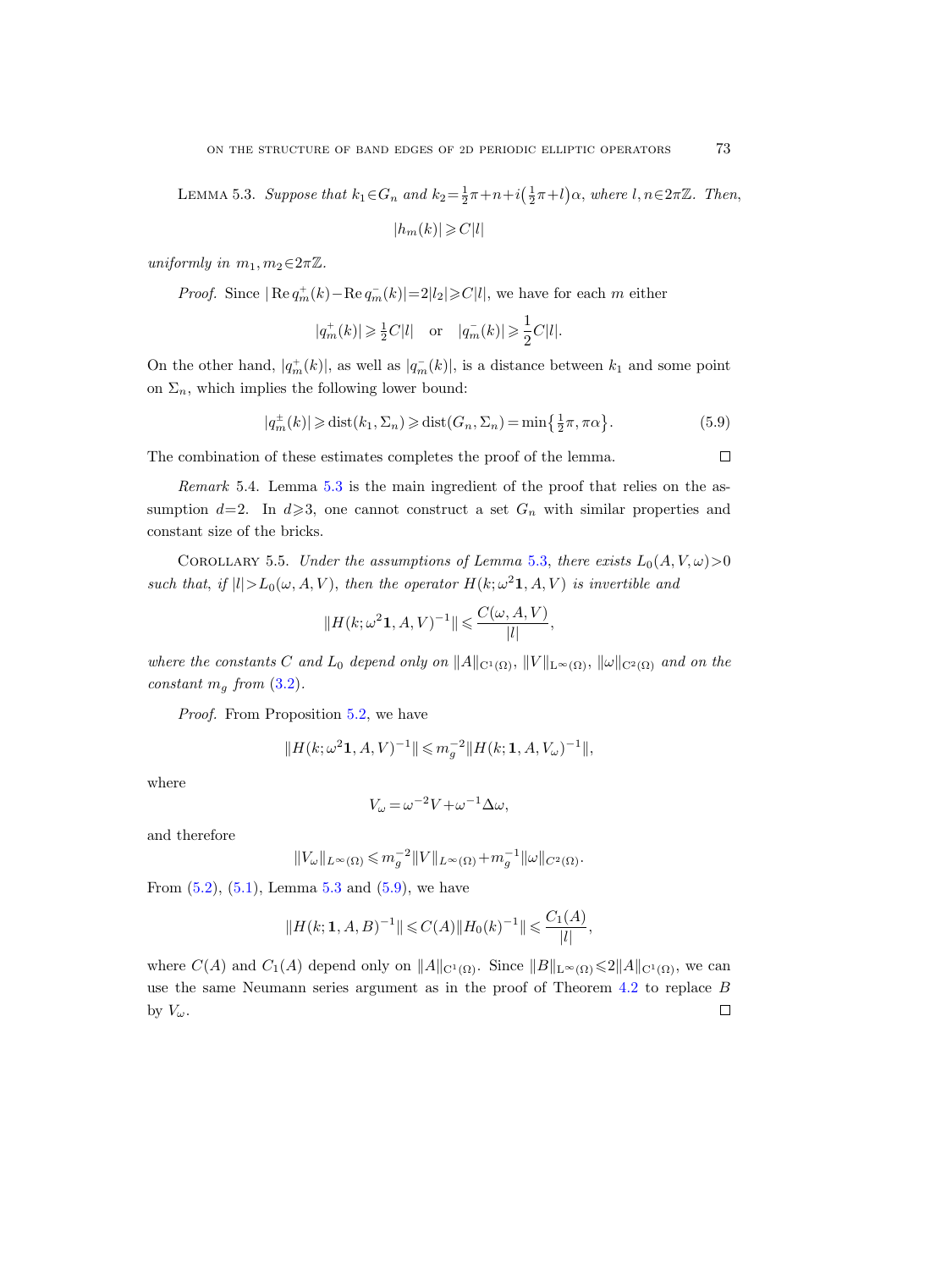<span id="page-14-0"></span>LEMMA 5.3. Suppose that  $k_1 \in G_n$  and  $k_2 = \frac{1}{2}\pi + n + i(\frac{1}{2}\pi + l)\alpha$ , where  $l, n \in 2\pi\mathbb{Z}$ . Then,

$$
|h_m(k)| \geqslant C|l|
$$

uniformly in  $m_1, m_2 \in 2\pi\mathbb{Z}$ .

*Proof.* Since  $|\text{Re } q_m^+(k) - \text{Re } q_m^-(k)| = 2|l_2| \geq C|l|$ , we have for each m either

$$
|q_m^+(k)| \geq \frac{1}{2}C|l|
$$
 or  $|q_m^-(k)| \geq \frac{1}{2}C|l|$ .

On the other hand,  $|q_m^+(k)|$ , as well as  $|q_m^-(k)|$ , is a distance between  $k_1$  and some point on  $\Sigma_n$ , which implies the following lower bound:

<span id="page-14-1"></span>
$$
|q_m^{\pm}(k)| \geq \text{dist}(k_1, \Sigma_n) \geq \text{dist}(G_n, \Sigma_n) = \min\left\{\frac{1}{2}\pi, \pi\alpha\right\}.
$$
 (5.9)

The combination of these estimates completes the proof of the lemma.

Remark 5.4. Lemma [5.3](#page-14-0) is the main ingredient of the proof that relies on the assumption  $d=2$ . In  $d\geqslant 3$ , one cannot construct a set  $G_n$  with similar properties and constant size of the bricks.

<span id="page-14-2"></span>COROLLARY 5.5. Under the assumptions of Lemma [5.3,](#page-14-0) there exists  $L_0(A, V, \omega) > 0$ such that, if  $|l| > L_0(\omega, A, V)$ , then the operator  $H(k; \omega^2 \mathbf{1}, A, V)$  is invertible and

$$
\|H(k;\omega^2\mathbf{1},A,V)^{-1}\|\leqslant \frac{C(\omega,A,V)}{|l|},
$$

where the constants C and L<sub>0</sub> depend only on  $||A||_{C^1(\Omega)}, ||V||_{L^{\infty}(\Omega)}, ||\omega||_{C^2(\Omega)}$  and on the constant  $m_q$  from  $(3.2)$ .

Proof. From Proposition [5.2,](#page-12-2) we have

$$
||H(k; \omega^2 \mathbf{1}, A, V)^{-1}|| \leq m_g^{-2} ||H(k; \mathbf{1}, A, V_\omega)^{-1}||,
$$

where

$$
V_{\omega} = \omega^{-2} V + \omega^{-1} \Delta \omega,
$$

and therefore

$$
||V_{\omega}||_{L^{\infty}(\Omega)} \leqslant m_g^{-2}||V||_{L^{\infty}(\Omega)} + m_g^{-1}||\omega||_{C^2(\Omega)}.
$$

From  $(5.2)$ ,  $(5.1)$ , Lemma [5.3](#page-14-0) and  $(5.9)$ , we have

$$
||H(k; 1, A, B)^{-1}|| \leq C(A) ||H_0(k)^{-1}|| \leq \frac{C_1(A)}{|l|},
$$

where  $C(A)$  and  $C_1(A)$  depend only on  $||A||_{C^1(\Omega)}$ . Since  $||B||_{L^{\infty}(\Omega)} \leq 2||A||_{C^1(\Omega)}$ , we can use the same Neumann series argument as in the proof of Theorem [4.2](#page-9-2) to replace B by  $V_\omega$ .  $\Box$ 

 $\Box$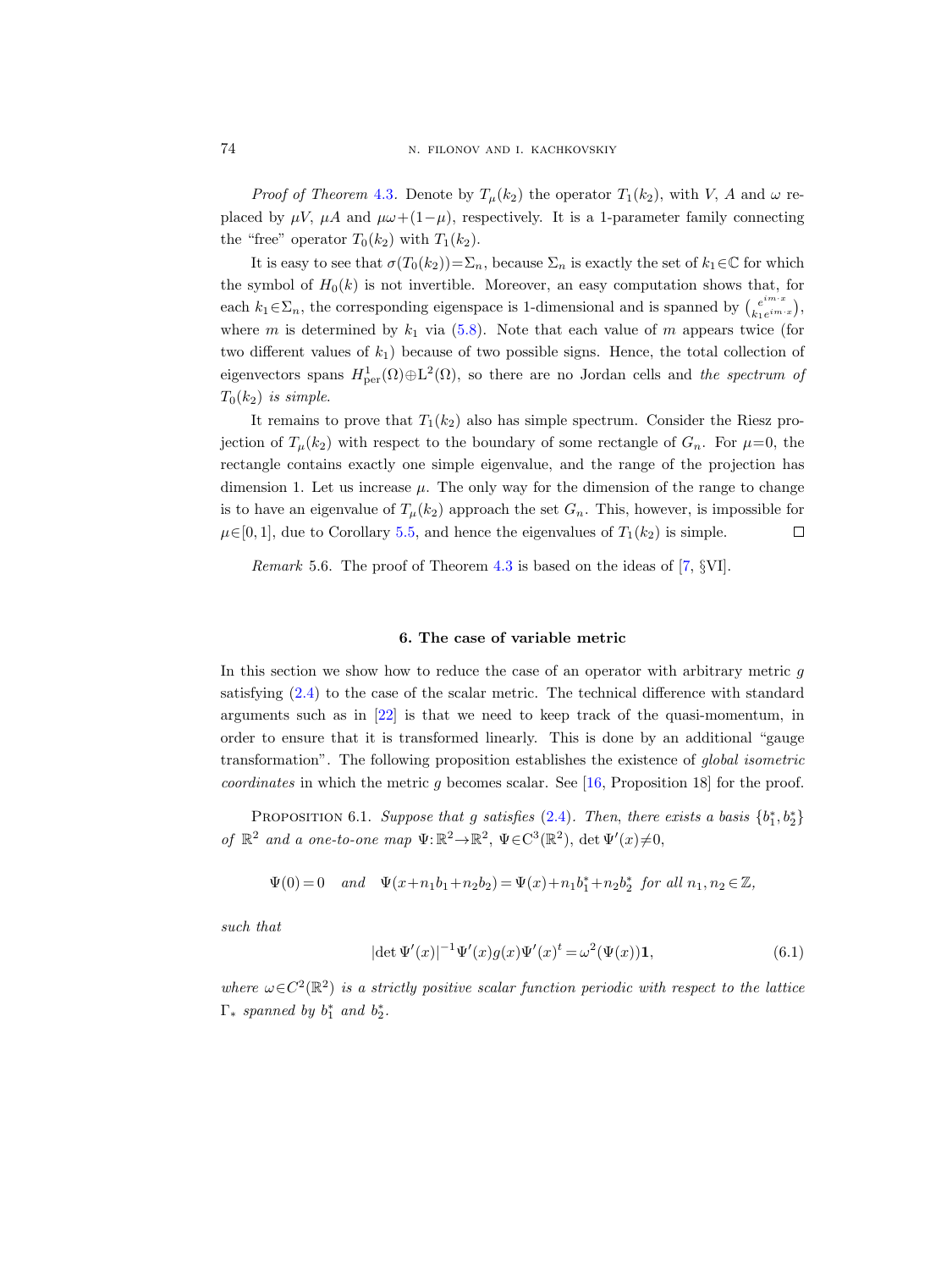*Proof of Theorem [4.3](#page-9-1).* Denote by  $T_u(k_2)$  the operator  $T_1(k_2)$ , with V, A and  $\omega$  replaced by  $\mu V$ ,  $\mu A$  and  $\mu \omega + (1-\mu)$ , respectively. It is a 1-parameter family connecting the "free" operator  $T_0(k_2)$  with  $T_1(k_2)$ .

It is easy to see that  $\sigma(T_0(k_2))=\sum_n$ , because  $\Sigma_n$  is exactly the set of  $k_1\in\mathbb{C}$  for which the symbol of  $H_0(k)$  is not invertible. Moreover, an easy computation shows that, for each  $k_1 \in \Sigma_n$ , the corresponding eigenspace is 1-dimensional and is spanned by  $\binom{e^{im\cdot x}}{k_1e^{im\cdot x}}$  $e^{im\cdot x}\bigg\},\$ where m is determined by  $k_1$  via  $(5.8)$ . Note that each value of m appears twice (for two different values of  $k_1$ ) because of two possible signs. Hence, the total collection of eigenvectors spans  $H^1_{per}(\Omega) \oplus L^2(\Omega)$ , so there are no Jordan cells and the spectrum of  $T_0(k_2)$  is simple.

It remains to prove that  $T_1(k_2)$  also has simple spectrum. Consider the Riesz projection of  $T_{\mu}(k_2)$  with respect to the boundary of some rectangle of  $G_n$ . For  $\mu=0$ , the rectangle contains exactly one simple eigenvalue, and the range of the projection has dimension 1. Let us increase  $\mu$ . The only way for the dimension of the range to change is to have an eigenvalue of  $T_{\mu}(k_2)$  approach the set  $G_n$ . This, however, is impossible for  $\mu \in [0, 1]$ , due to Corollary [5.5,](#page-14-2) and hence the eigenvalues of  $T_1(k_2)$  is simple.  $\Box$ 

*Remark* 5.6. The proof of Theorem [4.3](#page-9-1) is based on the ideas of  $[7, \S$ VI].

#### 6. The case of variable metric

<span id="page-15-0"></span>In this section we show how to reduce the case of an operator with arbitrary metric  $q$ satisfying [\(2.4\)](#page-2-3) to the case of the scalar metric. The technical difference with standard arguments such as in [\[22\]](#page-20-9) is that we need to keep track of the quasi-momentum, in order to ensure that it is transformed linearly. This is done by an additional "gauge transformation". The following proposition establishes the existence of global isometric coordinates in which the metric g becomes scalar. See [\[16,](#page-20-20) Proposition 18] for the proof.

<span id="page-15-1"></span>PROPOSITION 6.1. Suppose that g satisfies  $(2.4)$ . Then, there exists a basis  $\{b_1^*,b_2^*\}$ of  $\mathbb{R}^2$  and a one-to-one map  $\Psi: \mathbb{R}^2 \to \mathbb{R}^2$ ,  $\Psi \in C^3(\mathbb{R}^2)$ ,  $\det \Psi'(x) \neq 0$ ,

$$
\Psi(0)=0 \quad \textit{and} \quad \Psi(x+n_1b_1+n_2b_2)=\Psi(x)+n_1b_1^*+n_2b_2^* \;\; \textit{for all}\; n_1,n_2\in\mathbb{Z},
$$

such that

<span id="page-15-2"></span>
$$
|\det \Psi'(x)|^{-1} \Psi'(x) g(x) \Psi'(x)^t = \omega^2 (\Psi(x)) \mathbf{1},
$$
\n(6.1)

where  $\omega \in C^2(\mathbb{R}^2)$  is a strictly positive scalar function periodic with respect to the lattice  $\Gamma_*$  spanned by  $b_1^*$  and  $b_2^*$ .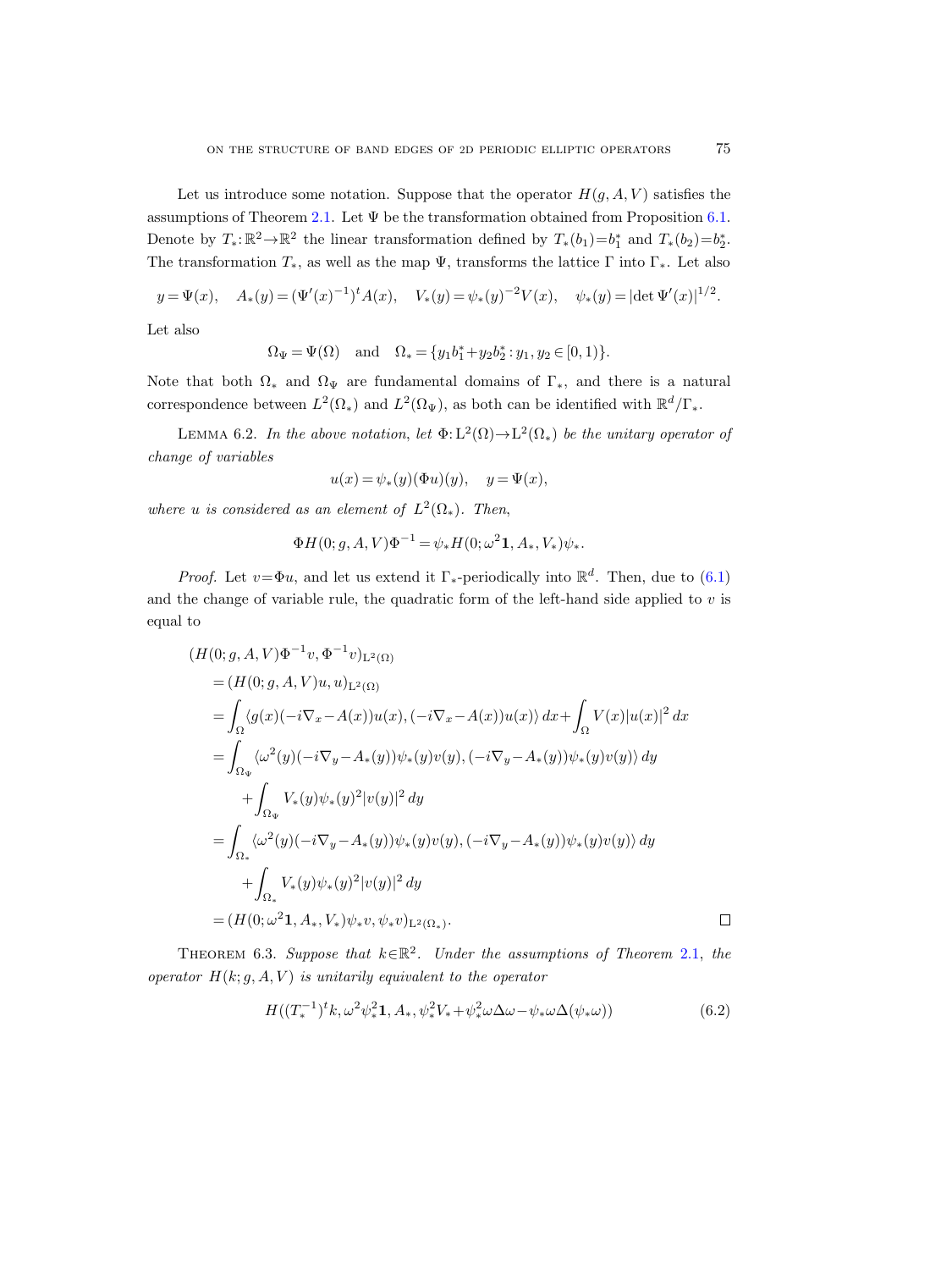Let us introduce some notation. Suppose that the operator  $H(q, A, V)$  satisfies the assumptions of Theorem [2.1.](#page-3-0) Let  $\Psi$  be the transformation obtained from Proposition [6.1.](#page-15-1) Denote by  $T_*: \mathbb{R}^2 \to \mathbb{R}^2$  the linear transformation defined by  $T_*(b_1) = b_1^*$  and  $T_*(b_2) = b_2^*$ . The transformation  $T_*$ , as well as the map  $\Psi$ , transforms the lattice Γ into Γ<sub>\*</sub>. Let also

$$
y = \Psi(x)
$$
,  $A_*(y) = (\Psi'(x)^{-1})^t A(x)$ ,  $V_*(y) = \psi_*(y)^{-2} V(x)$ ,  $\psi_*(y) = |\det \Psi'(x)|^{1/2}$ .

Let also

$$
\Omega_{\Psi} = \Psi(\Omega)
$$
 and  $\Omega_{*} = \{y_1 b_1^* + y_2 b_2^* : y_1, y_2 \in [0, 1)\}.$ 

Note that both  $\Omega_*$  and  $\Omega_{\Psi}$  are fundamental domains of  $\Gamma_*$ , and there is a natural correspondence between  $L^2(\Omega_*)$  and  $L^2(\Omega_\Psi)$ , as both can be identified with  $\mathbb{R}^d/\Gamma_*$ .

<span id="page-16-0"></span>LEMMA 6.2. In the above notation, let  $\Phi: L^2(\Omega) \to L^2(\Omega_*)$  be the unitary operator of change of variables

$$
u(x) = \psi_*(y)(\Phi u)(y), \quad y = \Psi(x),
$$

where u is considered as an element of  $L^2(\Omega_*)$ . Then,

$$
\Phi H(0;g,A,V)\Phi^{-1} = \psi_* H(0;\omega^2 \mathbf{1}, A_*, V_*)\psi_*.
$$

*Proof.* Let  $v = \Phi u$ , and let us extend it  $\Gamma_*$ -periodically into  $\mathbb{R}^d$ . Then, due to [\(6.1\)](#page-15-2) and the change of variable rule, the quadratic form of the left-hand side applied to  $v$  is equal to

$$
(H(0; g, A, V)\Phi^{-1}v, \Phi^{-1}v)_{L^{2}(\Omega)}
$$
  
=  $(H(0; g, A, V)u, u)_{L^{2}(\Omega)}$   
=  $\int_{\Omega} \langle g(x)(-i\nabla_{x}-A(x))u(x), (-i\nabla_{x}-A(x))u(x) \rangle dx + \int_{\Omega} V(x)|u(x)|^{2} dx$   
=  $\int_{\Omega_{\Psi}} \langle \omega^{2}(y)(-i\nabla_{y}-A_{*}(y))\psi_{*}(y)v(y), (-i\nabla_{y}-A_{*}(y))\psi_{*}(y)v(y) \rangle dy$   
+  $\int_{\Omega_{\Psi}} V_{*}(y)\psi_{*}(y)^{2}|v(y)|^{2} dy$   
=  $\int_{\Omega_{*}} \langle \omega^{2}(y)(-i\nabla_{y}-A_{*}(y))\psi_{*}(y)v(y), (-i\nabla_{y}-A_{*}(y))\psi_{*}(y)v(y) \rangle dy$   
+  $\int_{\Omega_{*}} V_{*}(y)\psi_{*}(y)^{2}|v(y)|^{2} dy$   
=  $(H(0; \omega^{2} 1, A_{*}, V_{*})\psi_{*}v, \psi_{*}v)_{L^{2}(\Omega_{*})}.$ 

THEOREM 6.3. Suppose that  $k \in \mathbb{R}^2$ . Under the assumptions of Theorem [2.1,](#page-3-0) the operator  $H(k; g, A, V)$  is unitarily equivalent to the operator

<span id="page-16-1"></span>
$$
H((T_*^{-1})^t k, \omega^2 \psi_*^2 \mathbf{1}, A_*, \psi_*^2 V_* + \psi_*^2 \omega \Delta \omega - \psi_* \omega \Delta (\psi_* \omega))
$$
(6.2)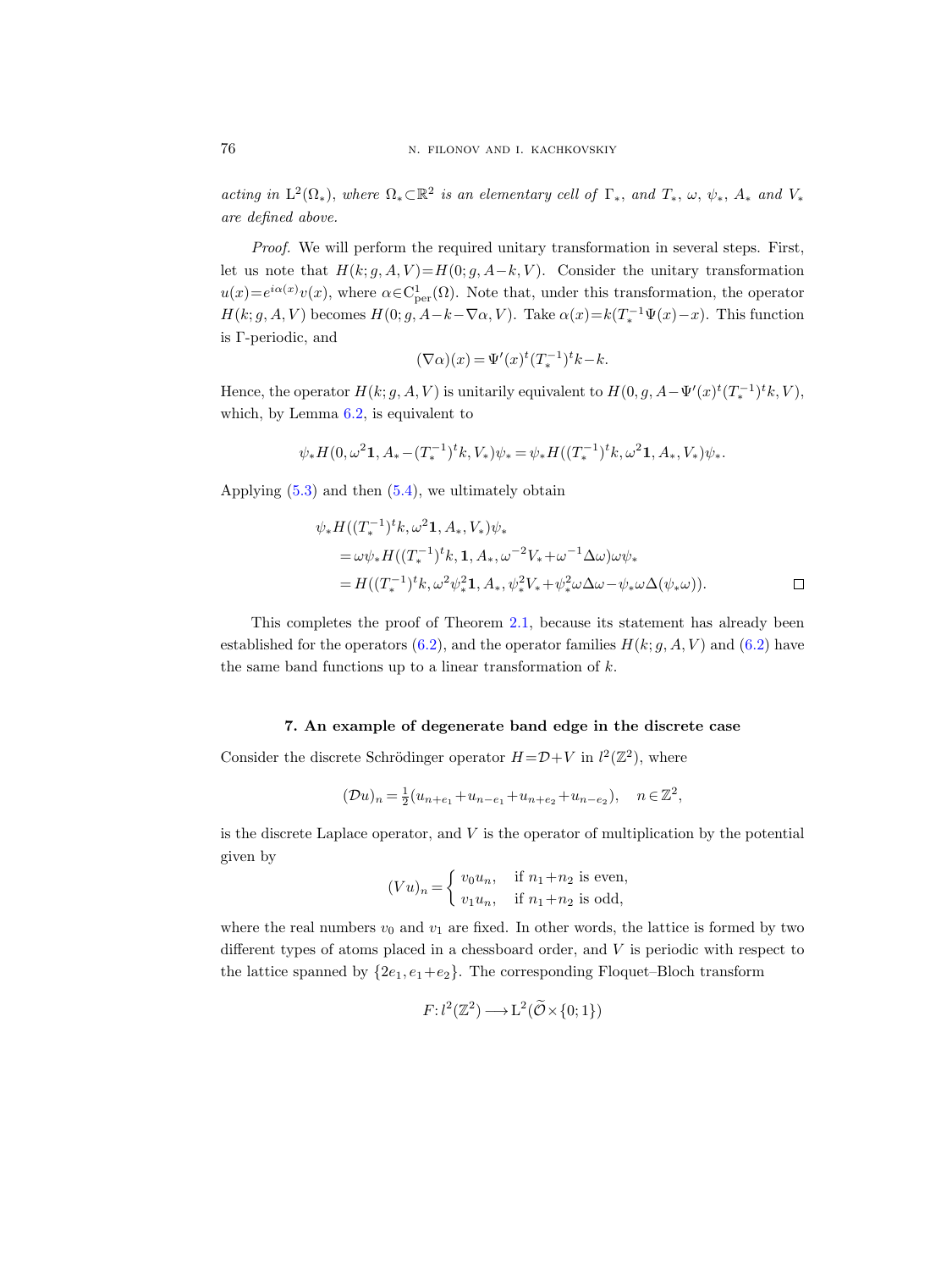acting in  $L^2(\Omega_*)$ , where  $\Omega_* \subset \mathbb{R}^2$  is an elementary cell of  $\Gamma_*$ , and  $T_*$ ,  $\omega$ ,  $\psi_*, A_*$  and  $V_*$ are defined above.

Proof. We will perform the required unitary transformation in several steps. First, let us note that  $H(k; g, A, V) = H(0; g, A-k, V)$ . Consider the unitary transformation  $u(x) = e^{i\alpha(x)}v(x)$ , where  $\alpha \in C^1_{\text{per}}(\Omega)$ . Note that, under this transformation, the operator  $H(k; g, A, V)$  becomes  $H(0; g, A-k-\nabla \alpha, V)$ . Take  $\alpha(x) = k(T_*^{-1}\Psi(x) - x)$ . This function is Γ-periodic, and

$$
(\nabla \alpha)(x) = \Psi'(x)^t (T_*^{-1})^t k - k.
$$

Hence, the operator  $H(k; g, A, V)$  is unitarily equivalent to  $H(0; g, A - \Psi'(x)^t (T_*^{-1})^t k, V)$ , which, by Lemma [6.2,](#page-16-0) is equivalent to

$$
\psi_* H(0, \omega^2 \mathbf{1}, A_* - (T_*^{-1})^t k, V_*) \psi_* = \psi_* H((T_*^{-1})^t k, \omega^2 \mathbf{1}, A_*, V_*) \psi_*.
$$

Applying  $(5.3)$  and then  $(5.4)$ , we ultimately obtain

$$
\psi_* H((T_*^{-1})^t k, \omega^2 \mathbf{1}, A_*, V_*) \psi_* \n= \omega \psi_* H((T_*^{-1})^t k, \mathbf{1}, A_*, \omega^{-2} V_* + \omega^{-1} \Delta \omega) \omega \psi_* \n= H((T_*^{-1})^t k, \omega^2 \psi_*^2 \mathbf{1}, A_*, \psi_*^2 V_* + \psi_*^2 \omega \Delta \omega - \psi_* \omega \Delta (\psi_* \omega)).
$$

This completes the proof of Theorem [2.1,](#page-3-0) because its statement has already been established for the operators [\(6.2\)](#page-16-1), and the operator families  $H(k; g, A, V)$  and (6.2) have the same band functions up to a linear transformation of k.

#### 7. An example of degenerate band edge in the discrete case

<span id="page-17-0"></span>Consider the discrete Schrödinger operator  $H = \mathcal{D} + V$  in  $l^2(\mathbb{Z}^2)$ , where

$$
(\mathcal{D}u)_n = \frac{1}{2}(u_{n+e_1} + u_{n-e_1} + u_{n+e_2} + u_{n-e_2}), \quad n \in \mathbb{Z}^2,
$$

is the discrete Laplace operator, and  $V$  is the operator of multiplication by the potential given by

$$
(Vu)_n = \begin{cases} v_0 u_n, & \text{if } n_1 + n_2 \text{ is even,} \\ v_1 u_n, & \text{if } n_1 + n_2 \text{ is odd,} \end{cases}
$$

where the real numbers  $v_0$  and  $v_1$  are fixed. In other words, the lattice is formed by two different types of atoms placed in a chessboard order, and V is periodic with respect to the lattice spanned by  $\{2e_1, e_1+e_2\}$ . The corresponding Floquet–Bloch transform

$$
F: l^2(\mathbb{Z}^2) \longrightarrow L^2(\widetilde{\mathcal{O}} \times \{0; 1\})
$$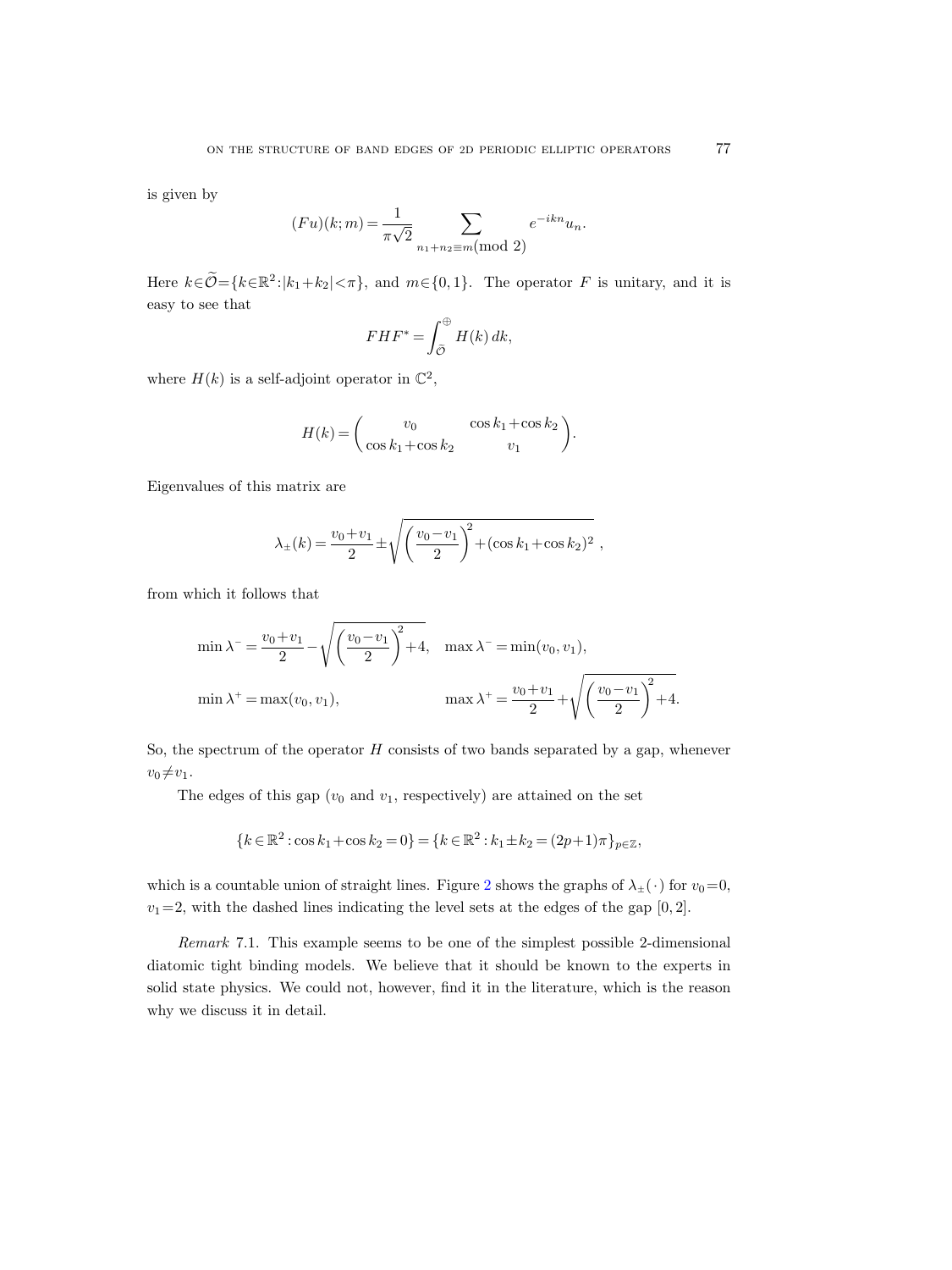is given by

$$
(Fu)(k; m) = \frac{1}{\pi\sqrt{2}} \sum_{n_1 + n_2 \equiv m \pmod{2}} e^{-ikn} u_n.
$$

Here  $k \in \widetilde{\mathcal{O}} = \{k \in \mathbb{R}^2 : |k_1 + k_2| < \pi\}$ , and  $m \in \{0, 1\}$ . The operator F is unitary, and it is easy to see that

$$
FHF^* = \int_{\widetilde{\mathcal{O}}}^{\oplus} H(k) \, dk,
$$

where  $H(k)$  is a self-adjoint operator in  $\mathbb{C}^2$ ,

$$
H(k) = \begin{pmatrix} v_0 & \cos k_1 + \cos k_2 \\ \cos k_1 + \cos k_2 & v_1 \end{pmatrix}.
$$

Eigenvalues of this matrix are

$$
\lambda_{\pm}(k) = \frac{v_0 + v_1}{2} \pm \sqrt{\left(\frac{v_0 - v_1}{2}\right)^2 + (\cos k_1 + \cos k_2)^2},
$$

from which it follows that

$$
\min \lambda^{-} = \frac{v_0 + v_1}{2} - \sqrt{\left(\frac{v_0 - v_1}{2}\right)^2 + 4}, \quad \max \lambda^{-} = \min(v_0, v_1),
$$

$$
\min \lambda^{+} = \max(v_0, v_1), \qquad \max \lambda^{+} = \frac{v_0 + v_1}{2} + \sqrt{\left(\frac{v_0 - v_1}{2}\right)^2 + 4}.
$$

So, the spectrum of the operator  $H$  consists of two bands separated by a gap, whenever  $v_0 \neq v_1$ .

The edges of this gap  $(v_0 \text{ and } v_1)$ , respectively) are attained on the set

$$
\{k\in\mathbb{R}^2: \cos k_1+\cos k_2=0\}=\{k\in\mathbb{R}^2: k_1\pm k_2=(2p+1)\pi\}_{p\in\mathbb{Z}},
$$

which is a countable union of straight lines. Figure [2](#page-19-6) shows the graphs of  $\lambda_{\pm}(\cdot)$  for  $v_0=0$ ,  $v_1=2$ , with the dashed lines indicating the level sets at the edges of the gap  $[0, 2]$ .

Remark 7.1. This example seems to be one of the simplest possible 2-dimensional diatomic tight binding models. We believe that it should be known to the experts in solid state physics. We could not, however, find it in the literature, which is the reason why we discuss it in detail.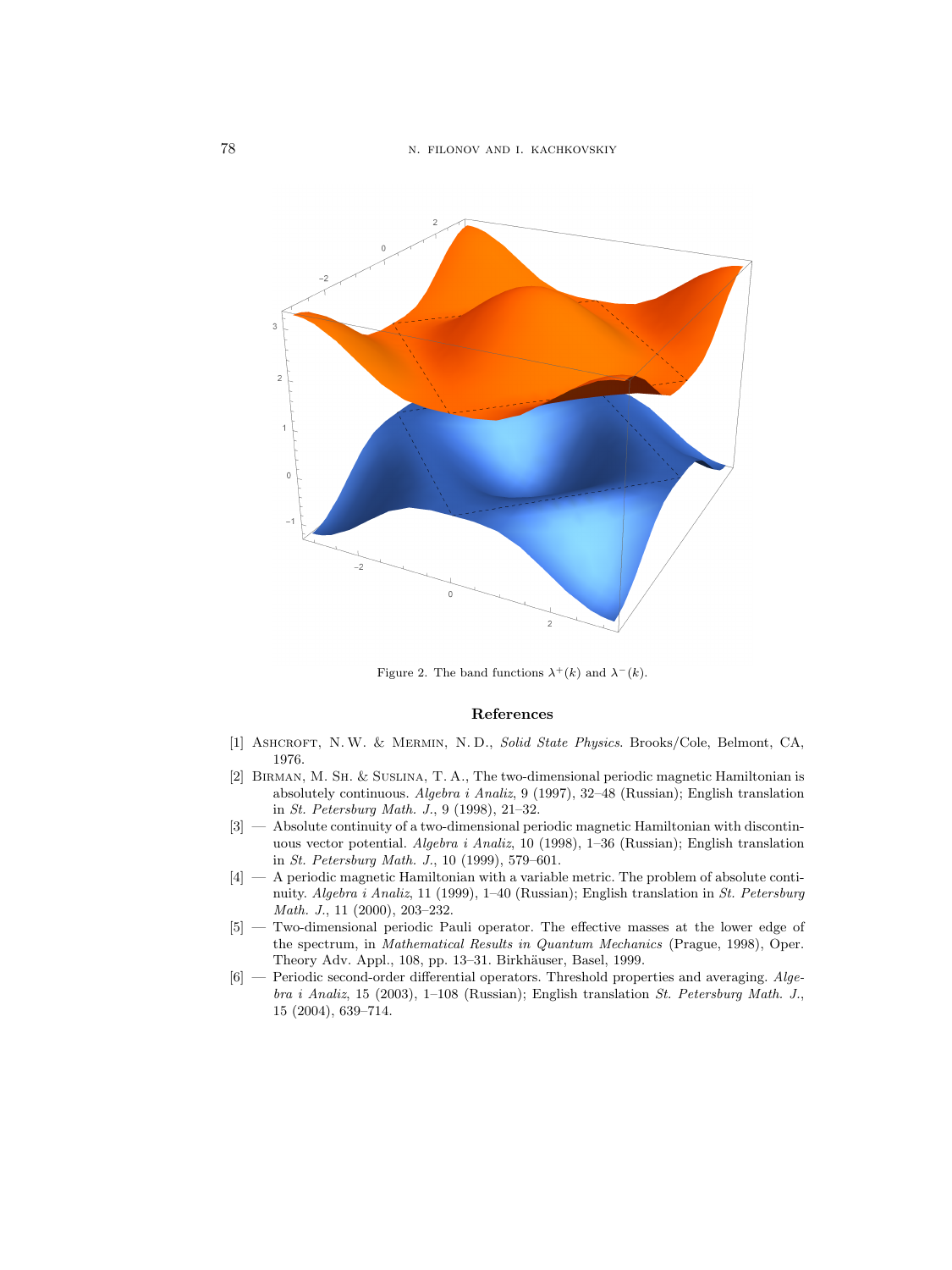

<span id="page-19-6"></span>Figure 2. The band functions  $\lambda^+(k)$  and  $\lambda^-(k)$ .

#### References

- <span id="page-19-0"></span>[1] Ashcroft, N.W. & Mermin, N. D., Solid State Physics. Brooks/Cole, Belmont, CA, 1976.
- <span id="page-19-3"></span>[2] Birman, M. Sh. & Suslina, T. A., The two-dimensional periodic magnetic Hamiltonian is absolutely continuous. Algebra i Analiz, 9 (1997), 32–48 (Russian); English translation in St. Petersburg Math. J., 9 (1998), 21–32.
- <span id="page-19-4"></span>[3] — Absolute continuity of a two-dimensional periodic magnetic Hamiltonian with discontinuous vector potential. Algebra i Analiz, 10 (1998), 1–36 (Russian); English translation in St. Petersburg Math. J., 10 (1999), 579–601.
- <span id="page-19-5"></span>[4] — A periodic magnetic Hamiltonian with a variable metric. The problem of absolute continuity. Algebra i Analiz, 11 (1999), 1–40 (Russian); English translation in St. Petersburg Math. J., 11 (2000), 203–232.
- <span id="page-19-1"></span>[5] — Two-dimensional periodic Pauli operator. The effective masses at the lower edge of the spectrum, in Mathematical Results in Quantum Mechanics (Prague, 1998), Oper. Theory Adv. Appl., 108, pp. 13–31. Birkhäuser, Basel, 1999.
- <span id="page-19-2"></span>[6] — Periodic second-order differential operators. Threshold properties and averaging. Algebra i Analiz, 15 (2003), 1–108 (Russian); English translation St. Petersburg Math. J., 15 (2004), 639–714.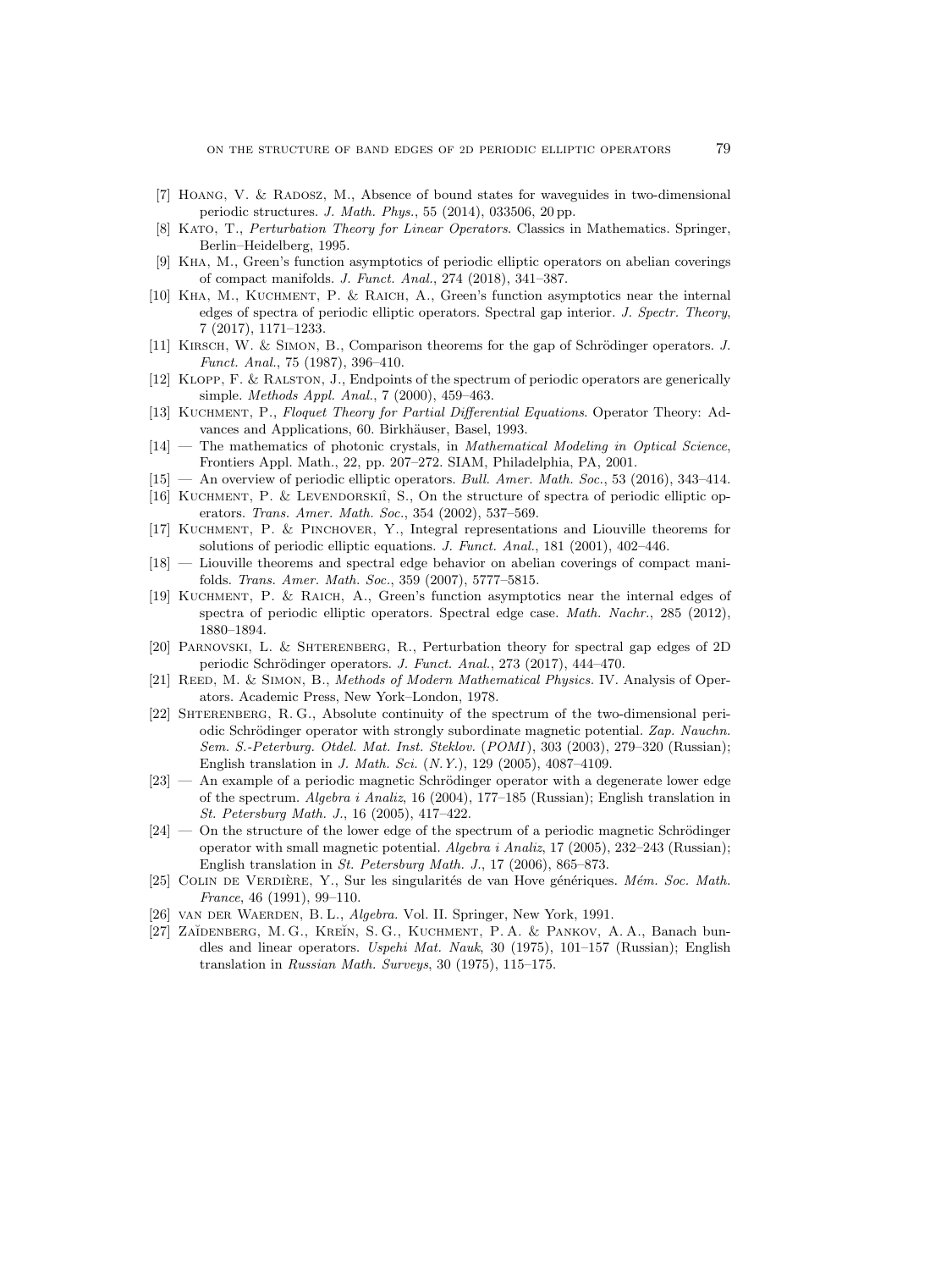- <span id="page-20-17"></span>[7] HOANG, V. & RADOSZ, M., Absence of bound states for waveguides in two-dimensional periodic structures. J. Math. Phys., 55 (2014), 033506, 20 pp.
- <span id="page-20-16"></span>[8] Kato, T., Perturbation Theory for Linear Operators. Classics in Mathematics. Springer, Berlin–Heidelberg, 1995.
- <span id="page-20-13"></span>[9] Kha, M., Green's function asymptotics of periodic elliptic operators on abelian coverings of compact manifolds. J. Funct. Anal., 274 (2018), 341–387.
- <span id="page-20-11"></span>[10] Kha, M., Kuchment, P. & Raich, A., Green's function asymptotics near the internal edges of spectra of periodic elliptic operators. Spectral gap interior. J. Spectr. Theory, 7 (2017), 1171–1233.
- <span id="page-20-3"></span>[11] KIRSCH, W. & SIMON, B., Comparison theorems for the gap of Schrödinger operators. J. Funct. Anal., 75 (1987), 396–410.
- <span id="page-20-7"></span>[12] Klopp, F. & Ralston, J., Endpoints of the spectrum of periodic operators are generically simple. Methods Appl. Anal., 7 (2000), 459–463.
- <span id="page-20-15"></span>[13] Kuchment, P., Floquet Theory for Partial Differential Equations. Operator Theory: Advances and Applications, 60. Birkhäuser, Basel, 1993.
- <span id="page-20-4"></span>[14] — The mathematics of photonic crystals, in Mathematical Modeling in Optical Science, Frontiers Appl. Math., 22, pp. 207–272. SIAM, Philadelphia, PA, 2001.
- <span id="page-20-2"></span>[15] — An overview of periodic elliptic operators. Bull. Amer. Math. Soc., 53 (2016), 343–414.
- <span id="page-20-20"></span>[16] KUCHMENT, P. & LEVENDORSKIÎ, S., On the structure of spectra of periodic elliptic operators. Trans. Amer. Math. Soc., 354 (2002), 537–569.
- <span id="page-20-10"></span>[17] Kuchment, P. & Pinchover, Y., Integral representations and Liouville theorems for solutions of periodic elliptic equations. J. Funct. Anal., 181 (2001), 402–446.
- <span id="page-20-1"></span>[18] — Liouville theorems and spectral edge behavior on abelian coverings of compact manifolds. Trans. Amer. Math. Soc., 359 (2007), 5777–5815.
- <span id="page-20-12"></span>[19] Kuchment, P. & Raich, A., Green's function asymptotics near the internal edges of spectra of periodic elliptic operators. Spectral edge case. Math. Nachr., 285 (2012), 1880–1894.
- <span id="page-20-14"></span>[20] Parnovski, L. & Shterenberg, R., Perturbation theory for spectral gap edges of 2D periodic Schrödinger operators. J. Funct. Anal., 273 (2017), 444-470.
- <span id="page-20-0"></span>[21] REED, M. & SIMON, B., Methods of Modern Mathematical Physics. IV. Analysis of Operators. Academic Press, New York–London, 1978.
- <span id="page-20-9"></span>[22] SHTERENBERG, R. G., Absolute continuity of the spectrum of the two-dimensional periodic Schrödinger operator with strongly subordinate magnetic potential. Zap. Nauchn. Sem. S.-Peterburg. Otdel. Mat. Inst. Steklov. (POMI), 303 (2003), 279–320 (Russian); English translation in J. Math. Sci. (N.Y.), 129 (2005), 4087–4109.
- <span id="page-20-5"></span> $[23]$  — An example of a periodic magnetic Schrödinger operator with a degenerate lower edge of the spectrum. Algebra i Analiz, 16 (2004), 177–185 (Russian); English translation in St. Petersburg Math. J., 16 (2005), 417–422.
- <span id="page-20-6"></span> $[24]$  — On the structure of the lower edge of the spectrum of a periodic magnetic Schrödinger operator with small magnetic potential.  $Algebra \, i$  Analiz, 17 (2005), 232–243 (Russian); English translation in St. Petersburg Math. J., 17 (2006), 865–873.
- <span id="page-20-8"></span>[25] COLIN DE VERDIÈRE, Y., Sur les singularités de van Hove génériques. Mém. Soc. Math. France, 46 (1991), 99–110.
- <span id="page-20-18"></span>[26] van der Waerden, B. L., Algebra. Vol. II. Springer, New York, 1991.
- <span id="page-20-19"></span>[27] ZAĬDENBERG, M. G., KREĬN, S. G., KUCHMENT, P. A. & PANKOV, A. A., Banach bundles and linear operators. Uspehi Mat. Nauk, 30 (1975), 101–157 (Russian); English translation in Russian Math. Surveys, 30 (1975), 115–175.